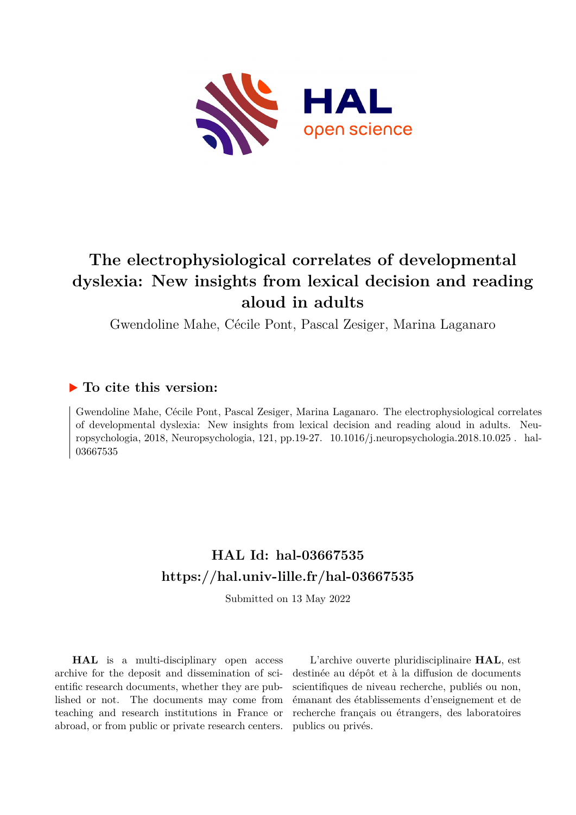

# **The electrophysiological correlates of developmental dyslexia: New insights from lexical decision and reading aloud in adults**

Gwendoline Mahe, Cécile Pont, Pascal Zesiger, Marina Laganaro

## **To cite this version:**

Gwendoline Mahe, Cécile Pont, Pascal Zesiger, Marina Laganaro. The electrophysiological correlates of developmental dyslexia: New insights from lexical decision and reading aloud in adults. Neuropsychologia, 2018, Neuropsychologia, 121, pp.19-27. 10.1016/j.neuropsychologia.2018.10.025. hal-03667535

## **HAL Id: hal-03667535 <https://hal.univ-lille.fr/hal-03667535>**

Submitted on 13 May 2022

**HAL** is a multi-disciplinary open access archive for the deposit and dissemination of scientific research documents, whether they are published or not. The documents may come from teaching and research institutions in France or abroad, or from public or private research centers.

L'archive ouverte pluridisciplinaire **HAL**, est destinée au dépôt et à la diffusion de documents scientifiques de niveau recherche, publiés ou non, émanant des établissements d'enseignement et de recherche français ou étrangers, des laboratoires publics ou privés.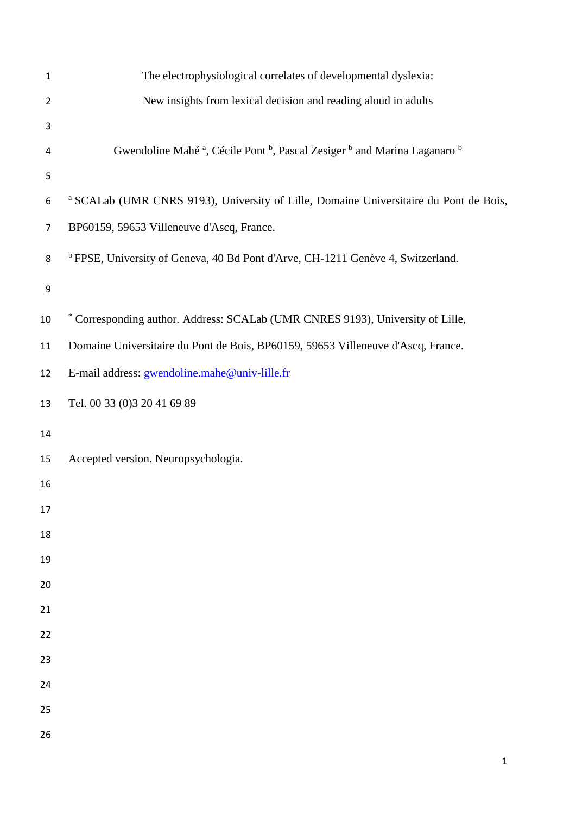| $\mathbf{1}$   | The electrophysiological correlates of developmental dyslexia:                                                         |
|----------------|------------------------------------------------------------------------------------------------------------------------|
| $\overline{2}$ | New insights from lexical decision and reading aloud in adults                                                         |
| 3              |                                                                                                                        |
| 4              | Gwendoline Mahé <sup>a</sup> , Cécile Pont <sup>b</sup> , Pascal Zesiger <sup>b</sup> and Marina Laganaro <sup>b</sup> |
| 5              |                                                                                                                        |
| 6              | <sup>a</sup> SCALab (UMR CNRS 9193), University of Lille, Domaine Universitaire du Pont de Bois,                       |
| $\overline{7}$ | BP60159, 59653 Villeneuve d'Ascq, France.                                                                              |
| 8              | <sup>b</sup> FPSE, University of Geneva, 40 Bd Pont d'Arve, CH-1211 Genève 4, Switzerland.                             |
| 9              |                                                                                                                        |
| 10             | * Corresponding author. Address: SCALab (UMR CNRES 9193), University of Lille,                                         |
| 11             | Domaine Universitaire du Pont de Bois, BP60159, 59653 Villeneuve d'Ascq, France.                                       |
| 12             | E-mail address: gwendoline.mahe@univ-lille.fr                                                                          |
| 13             | Tel. 00 33 (0)3 20 41 69 89                                                                                            |
| 14             |                                                                                                                        |
| 15             | Accepted version. Neuropsychologia.                                                                                    |
| 16             |                                                                                                                        |
| 17             |                                                                                                                        |
| 18             |                                                                                                                        |
| 19             |                                                                                                                        |
| 20             |                                                                                                                        |
| 21             |                                                                                                                        |
| 22             |                                                                                                                        |
| 23             |                                                                                                                        |
| 24             |                                                                                                                        |
| 25             |                                                                                                                        |
| 26             |                                                                                                                        |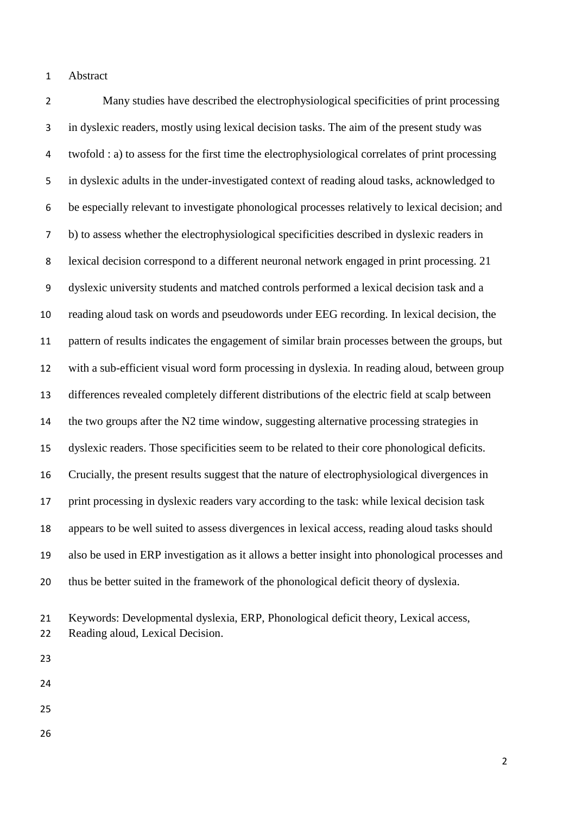#### Abstract

 Many studies have described the electrophysiological specificities of print processing in dyslexic readers, mostly using lexical decision tasks. The aim of the present study was twofold : a) to assess for the first time the electrophysiological correlates of print processing in dyslexic adults in the under-investigated context of reading aloud tasks, acknowledged to be especially relevant to investigate phonological processes relatively to lexical decision; and b) to assess whether the electrophysiological specificities described in dyslexic readers in lexical decision correspond to a different neuronal network engaged in print processing. 21 dyslexic university students and matched controls performed a lexical decision task and a reading aloud task on words and pseudowords under EEG recording. In lexical decision, the pattern of results indicates the engagement of similar brain processes between the groups, but with a sub-efficient visual word form processing in dyslexia. In reading aloud, between group differences revealed completely different distributions of the electric field at scalp between the two groups after the N2 time window, suggesting alternative processing strategies in dyslexic readers. Those specificities seem to be related to their core phonological deficits. Crucially, the present results suggest that the nature of electrophysiological divergences in print processing in dyslexic readers vary according to the task: while lexical decision task appears to be well suited to assess divergences in lexical access, reading aloud tasks should also be used in ERP investigation as it allows a better insight into phonological processes and thus be better suited in the framework of the phonological deficit theory of dyslexia.

 Keywords: Developmental dyslexia, ERP, Phonological deficit theory, Lexical access, Reading aloud, Lexical Decision.

- 
- 
- 
- 
-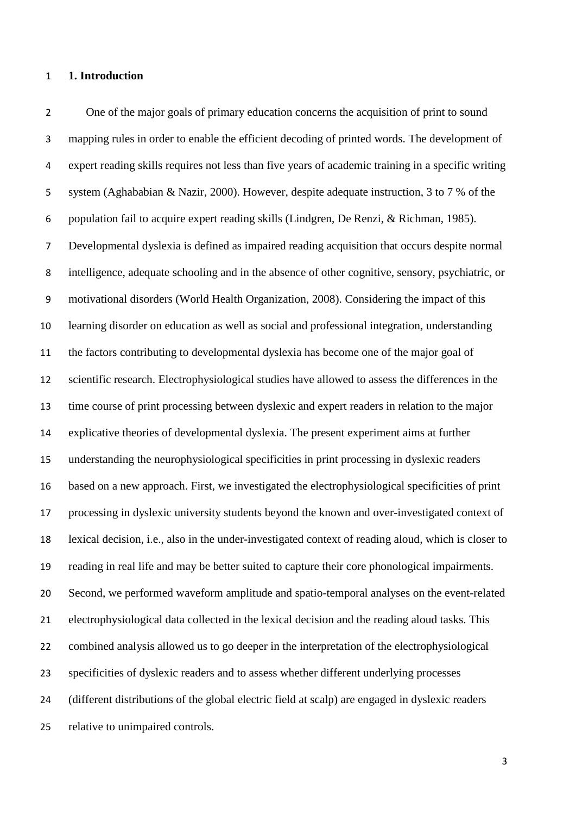#### **1. Introduction**

 One of the major goals of primary education concerns the acquisition of print to sound mapping rules in order to enable the efficient decoding of printed words. The development of expert reading skills requires not less than five years of academic training in a specific writing system (Aghababian & Nazir, 2000). However, despite adequate instruction, 3 to 7 % of the population fail to acquire expert reading skills (Lindgren, De Renzi, & Richman, 1985). Developmental dyslexia is defined as impaired reading acquisition that occurs despite normal intelligence, adequate schooling and in the absence of other cognitive, sensory, psychiatric, or motivational disorders (World Health Organization, 2008). Considering the impact of this learning disorder on education as well as social and professional integration, understanding the factors contributing to developmental dyslexia has become one of the major goal of scientific research. Electrophysiological studies have allowed to assess the differences in the time course of print processing between dyslexic and expert readers in relation to the major explicative theories of developmental dyslexia. The present experiment aims at further understanding the neurophysiological specificities in print processing in dyslexic readers based on a new approach. First, we investigated the electrophysiological specificities of print processing in dyslexic university students beyond the known and over-investigated context of lexical decision, i.e., also in the under-investigated context of reading aloud, which is closer to reading in real life and may be better suited to capture their core phonological impairments. Second, we performed waveform amplitude and spatio-temporal analyses on the event-related electrophysiological data collected in the lexical decision and the reading aloud tasks. This combined analysis allowed us to go deeper in the interpretation of the electrophysiological specificities of dyslexic readers and to assess whether different underlying processes (different distributions of the global electric field at scalp) are engaged in dyslexic readers relative to unimpaired controls.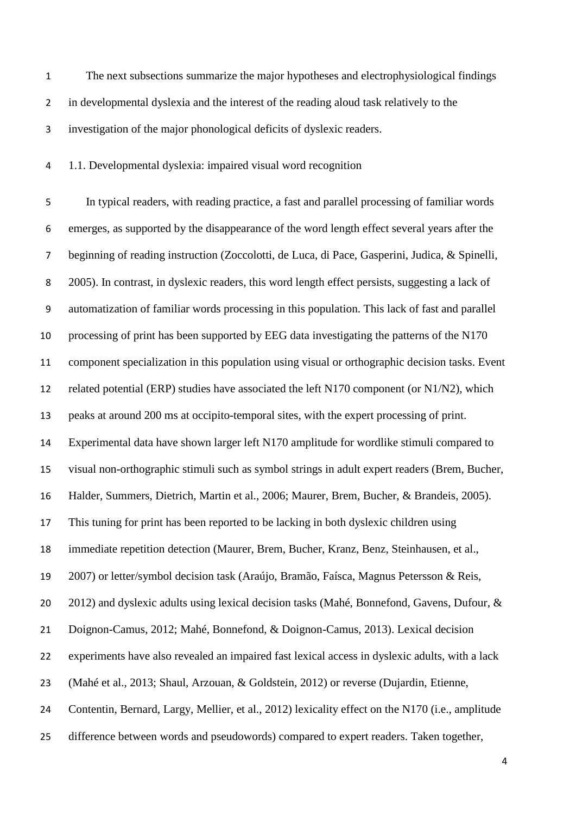The next subsections summarize the major hypotheses and electrophysiological findings in developmental dyslexia and the interest of the reading aloud task relatively to the investigation of the major phonological deficits of dyslexic readers.

1.1. Developmental dyslexia: impaired visual word recognition

 In typical readers, with reading practice, a fast and parallel processing of familiar words emerges, as supported by the disappearance of the word length effect several years after the beginning of reading instruction (Zoccolotti, de Luca, di Pace, Gasperini, Judica, & Spinelli, 2005). In contrast, in dyslexic readers, this word length effect persists, suggesting a lack of automatization of familiar words processing in this population. This lack of fast and parallel processing of print has been supported by EEG data investigating the patterns of the N170 component specialization in this population using visual or orthographic decision tasks. Event 12 related potential (ERP) studies have associated the left N170 component (or N1/N2), which peaks at around 200 ms at occipito-temporal sites, with the expert processing of print. Experimental data have shown larger left N170 amplitude for wordlike stimuli compared to visual non-orthographic stimuli such as symbol strings in adult expert readers (Brem, Bucher, Halder, Summers, Dietrich, Martin et al., 2006; Maurer, Brem, Bucher, & Brandeis, 2005). This tuning for print has been reported to be lacking in both dyslexic children using immediate repetition detection (Maurer, Brem, Bucher, Kranz, Benz, Steinhausen, et al., 2007) or letter/symbol decision task (Araújo, Bramão, Faísca, Magnus Petersson & Reis, 20 2012) and dyslexic adults using lexical decision tasks (Mahé, Bonnefond, Gavens, Dufour, & Doignon-Camus, 2012; Mahé, Bonnefond, & Doignon-Camus, 2013). Lexical decision experiments have also revealed an impaired fast lexical access in dyslexic adults, with a lack (Mahé et al., 2013; Shaul, Arzouan, & Goldstein, 2012) or reverse (Dujardin, Etienne, Contentin, Bernard, Largy, Mellier, et al., 2012) lexicality effect on the N170 (i.e., amplitude difference between words and pseudowords) compared to expert readers. Taken together,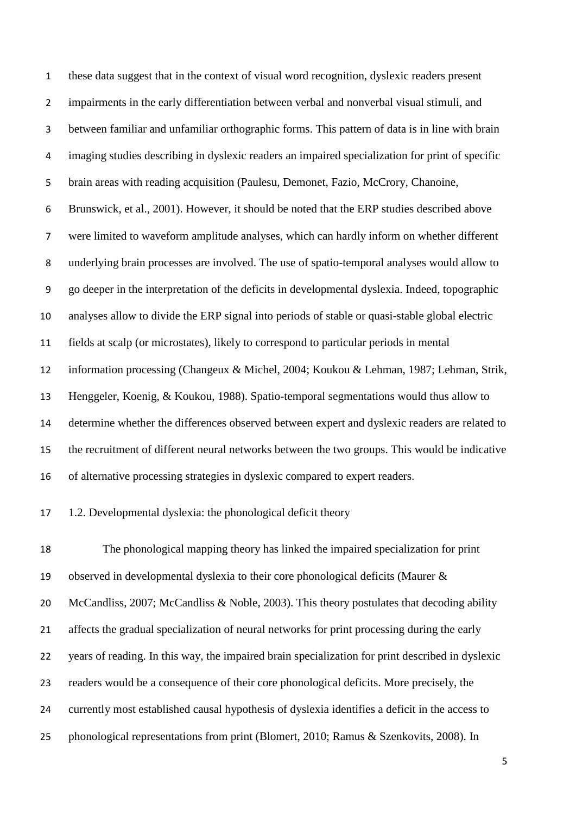these data suggest that in the context of visual word recognition, dyslexic readers present impairments in the early differentiation between verbal and nonverbal visual stimuli, and between familiar and unfamiliar orthographic forms. This pattern of data is in line with brain imaging studies describing in dyslexic readers an impaired specialization for print of specific brain areas with reading acquisition (Paulesu, Demonet, Fazio, McCrory, Chanoine, Brunswick, et al., 2001). However, it should be noted that the ERP studies described above were limited to waveform amplitude analyses, which can hardly inform on whether different underlying brain processes are involved. The use of spatio-temporal analyses would allow to go deeper in the interpretation of the deficits in developmental dyslexia. Indeed, topographic analyses allow to divide the ERP signal into periods of stable or quasi-stable global electric fields at scalp (or microstates), likely to correspond to particular periods in mental information processing (Changeux & Michel, 2004; Koukou & Lehman, 1987; Lehman, Strik, Henggeler, Koenig, & Koukou, 1988). Spatio-temporal segmentations would thus allow to determine whether the differences observed between expert and dyslexic readers are related to the recruitment of different neural networks between the two groups. This would be indicative of alternative processing strategies in dyslexic compared to expert readers. 1.2. Developmental dyslexia: the phonological deficit theory

 The phonological mapping theory has linked the impaired specialization for print observed in developmental dyslexia to their core phonological deficits (Maurer & McCandliss, 2007; McCandliss & Noble, 2003). This theory postulates that decoding ability affects the gradual specialization of neural networks for print processing during the early years of reading. In this way, the impaired brain specialization for print described in dyslexic readers would be a consequence of their core phonological deficits. More precisely, the currently most established causal hypothesis of dyslexia identifies a deficit in the access to phonological representations from print (Blomert, 2010; Ramus & Szenkovits, 2008). In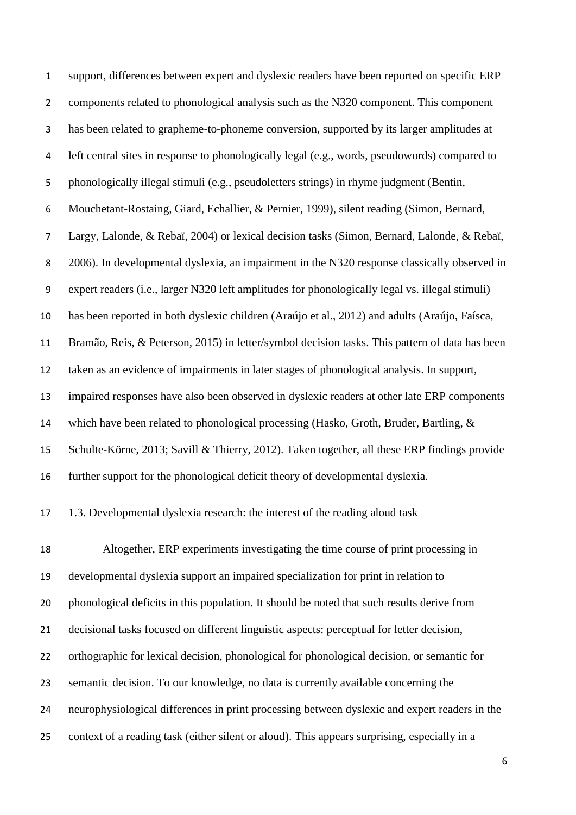support, differences between expert and dyslexic readers have been reported on specific ERP components related to phonological analysis such as the N320 component. This component has been related to grapheme-to-phoneme conversion, supported by its larger amplitudes at left central sites in response to phonologically legal (e.g., words, pseudowords) compared to phonologically illegal stimuli (e.g., pseudoletters strings) in rhyme judgment (Bentin, Mouchetant-Rostaing, Giard, Echallier, & Pernier, 1999), silent reading (Simon, Bernard, Largy, Lalonde, & Rebaï, 2004) or lexical decision tasks (Simon, Bernard, Lalonde, & Rebaï, 2006). In developmental dyslexia, an impairment in the N320 response classically observed in expert readers (i.e., larger N320 left amplitudes for phonologically legal vs. illegal stimuli) has been reported in both dyslexic children (Araújo et al., 2012) and adults (Araújo, Faísca, Bramão, Reis, & Peterson, 2015) in letter/symbol decision tasks. This pattern of data has been taken as an evidence of impairments in later stages of phonological analysis. In support, impaired responses have also been observed in dyslexic readers at other late ERP components which have been related to phonological processing (Hasko, Groth, Bruder, Bartling, & Schulte-Körne, 2013; Savill & Thierry, 2012). Taken together, all these ERP findings provide further support for the phonological deficit theory of developmental dyslexia.

1.3. Developmental dyslexia research: the interest of the reading aloud task

 Altogether, ERP experiments investigating the time course of print processing in developmental dyslexia support an impaired specialization for print in relation to phonological deficits in this population. It should be noted that such results derive from decisional tasks focused on different linguistic aspects: perceptual for letter decision, orthographic for lexical decision, phonological for phonological decision, or semantic for semantic decision. To our knowledge, no data is currently available concerning the neurophysiological differences in print processing between dyslexic and expert readers in the context of a reading task (either silent or aloud). This appears surprising, especially in a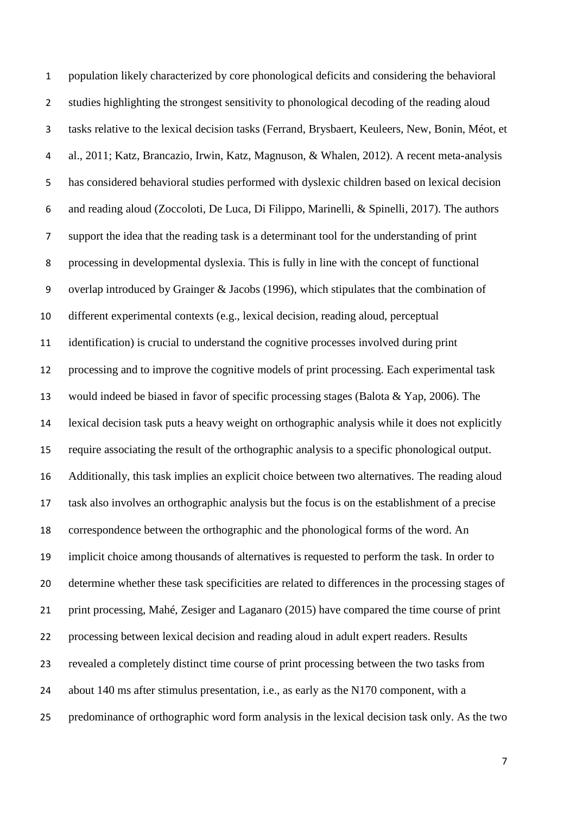population likely characterized by core phonological deficits and considering the behavioral studies highlighting the strongest sensitivity to phonological decoding of the reading aloud tasks relative to the lexical decision tasks (Ferrand, Brysbaert, Keuleers, New, Bonin, Méot, et al., 2011; Katz, Brancazio, Irwin, Katz, Magnuson, & Whalen, 2012). A recent meta-analysis has considered behavioral studies performed with dyslexic children based on lexical decision and reading aloud (Zoccoloti, De Luca, Di Filippo, Marinelli, & Spinelli, 2017). The authors support the idea that the reading task is a determinant tool for the understanding of print processing in developmental dyslexia. This is fully in line with the concept of functional overlap introduced by Grainger & Jacobs (1996), which stipulates that the combination of different experimental contexts (e.g., lexical decision, reading aloud, perceptual identification) is crucial to understand the cognitive processes involved during print processing and to improve the cognitive models of print processing. Each experimental task would indeed be biased in favor of specific processing stages (Balota & Yap, 2006). The lexical decision task puts a heavy weight on orthographic analysis while it does not explicitly require associating the result of the orthographic analysis to a specific phonological output. Additionally, this task implies an explicit choice between two alternatives. The reading aloud task also involves an orthographic analysis but the focus is on the establishment of a precise correspondence between the orthographic and the phonological forms of the word. An implicit choice among thousands of alternatives is requested to perform the task. In order to determine whether these task specificities are related to differences in the processing stages of print processing, Mahé, Zesiger and Laganaro (2015) have compared the time course of print processing between lexical decision and reading aloud in adult expert readers. Results revealed a completely distinct time course of print processing between the two tasks from about 140 ms after stimulus presentation, i.e., as early as the N170 component, with a predominance of orthographic word form analysis in the lexical decision task only. As the two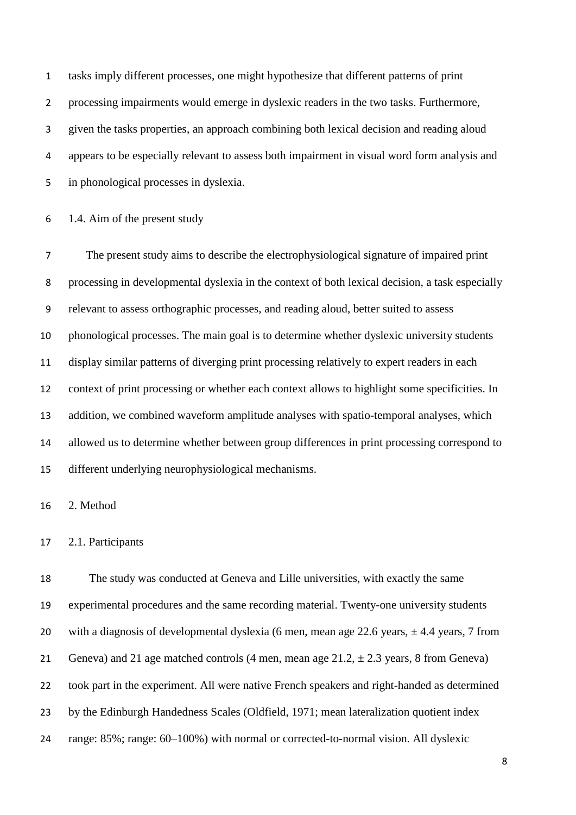tasks imply different processes, one might hypothesize that different patterns of print processing impairments would emerge in dyslexic readers in the two tasks. Furthermore, given the tasks properties, an approach combining both lexical decision and reading aloud appears to be especially relevant to assess both impairment in visual word form analysis and in phonological processes in dyslexia.

1.4. Aim of the present study

 The present study aims to describe the electrophysiological signature of impaired print processing in developmental dyslexia in the context of both lexical decision, a task especially relevant to assess orthographic processes, and reading aloud, better suited to assess phonological processes. The main goal is to determine whether dyslexic university students display similar patterns of diverging print processing relatively to expert readers in each context of print processing or whether each context allows to highlight some specificities. In addition, we combined waveform amplitude analyses with spatio-temporal analyses, which allowed us to determine whether between group differences in print processing correspond to different underlying neurophysiological mechanisms.

2. Method

#### 2.1. Participants

 The study was conducted at Geneva and Lille universities, with exactly the same experimental procedures and the same recording material. Twenty-one university students 20 with a diagnosis of developmental dyslexia (6 men, mean age 22.6 years,  $\pm$  4.4 years, 7 from 21 Geneva) and 21 age matched controls (4 men, mean age  $21.2, \pm 2.3$  years, 8 from Geneva) took part in the experiment. All were native French speakers and right-handed as determined by the Edinburgh Handedness Scales (Oldfield, 1971; mean lateralization quotient index range: 85%; range: 60–100%) with normal or corrected-to-normal vision. All dyslexic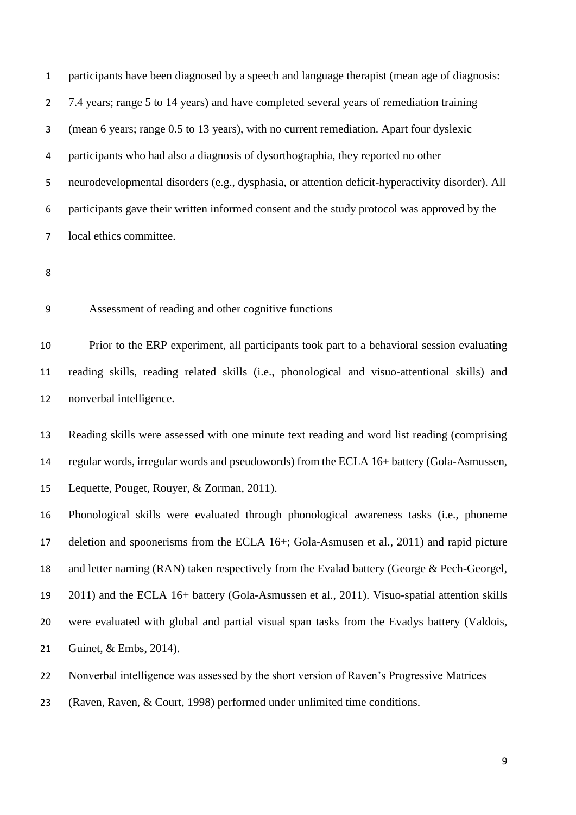participants have been diagnosed by a speech and language therapist (mean age of diagnosis: 7.4 years; range 5 to 14 years) and have completed several years of remediation training (mean 6 years; range 0.5 to 13 years), with no current remediation. Apart four dyslexic participants who had also a diagnosis of dysorthographia, they reported no other neurodevelopmental disorders (e.g., dysphasia, or attention deficit-hyperactivity disorder). All participants gave their written informed consent and the study protocol was approved by the local ethics committee.

Assessment of reading and other cognitive functions

 Prior to the ERP experiment, all participants took part to a behavioral session evaluating reading skills, reading related skills (i.e., phonological and visuo-attentional skills) and nonverbal intelligence.

 Reading skills were assessed with one minute text reading and word list reading (comprising regular words, irregular words and pseudowords) from the ECLA 16+ battery (Gola-Asmussen, Lequette, Pouget, Rouyer, & Zorman, 2011).

 Phonological skills were evaluated through phonological awareness tasks (i.e., phoneme deletion and spoonerisms from the ECLA 16+; Gola-Asmusen et al., 2011) and rapid picture 18 and letter naming (RAN) taken respectively from the Evalad battery (George & Pech-Georgel, 2011) and the ECLA 16+ battery (Gola-Asmussen et al., 2011). Visuo-spatial attention skills were evaluated with global and partial visual span tasks from the Evadys battery (Valdois, Guinet, & Embs, 2014).

Nonverbal intelligence was assessed by the short version of Raven's Progressive Matrices

(Raven, Raven, & Court, 1998) performed under unlimited time conditions.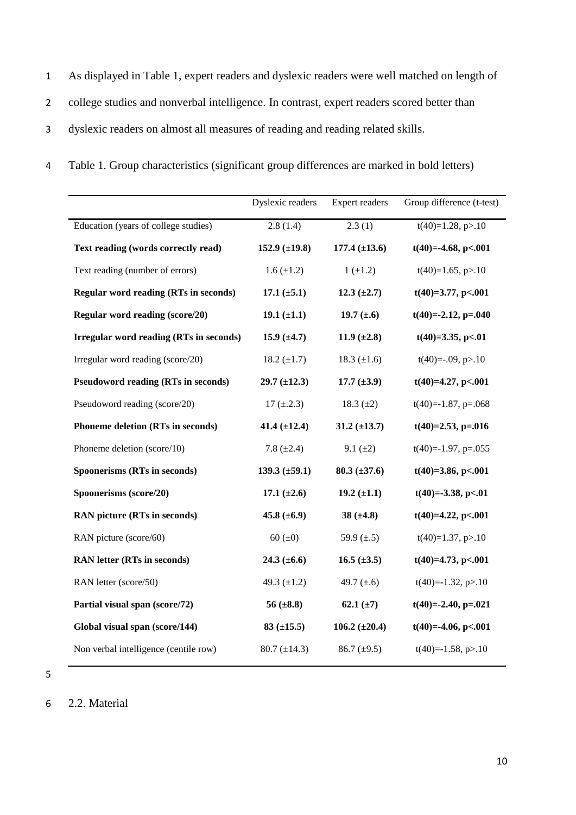- 1 As displayed in Table 1, expert readers and dyslexic readers were well matched on length of 2 college studies and nonverbal intelligence. In contrast, expert readers scored better than 3 dyslexic readers on almost all measures of reading and reading related skills.
- 4 Table 1. Group characteristics (significant group differences are marked in bold letters)

|                                                | Dyslexic readers   | <b>Expert readers</b> | Group difference (t-test)       |
|------------------------------------------------|--------------------|-----------------------|---------------------------------|
| Education (years of college studies)           | 2.8(1.4)           | 2.3(1)                | $\overline{t(40)}$ =1.28, p>.10 |
| Text reading (words correctly read)            | 152.9 $(\pm 19.8)$ | $177.4 (\pm 13.6)$    | $t(40)=-4.68, p<.001$           |
| Text reading (number of errors)                | $1.6 (\pm 1.2)$    | $1(\pm 1.2)$          | $t(40)=1.65, p>10$              |
| <b>Regular word reading (RTs in seconds)</b>   | $17.1 (\pm 5.1)$   | 12.3 $(\pm 2.7)$      | $t(40)=3.77, p<.001$            |
| Regular word reading (score/20)                | 19.1 $(\pm 1.1)$   | 19.7 $(\pm .6)$       | $t(40)=-2.12$ , p=.040          |
| <b>Irregular word reading (RTs in seconds)</b> | 15.9 $(\pm 4.7)$   | 11.9 $(\pm 2.8)$      | $t(40)=3.35, p<.01$             |
| Irregular word reading (score/20)              | 18.2 $(\pm 1.7)$   | 18.3 $(\pm 1.6)$      | $t(40)=0.09, p>0.10$            |
| <b>Pseudoword reading (RTs in seconds)</b>     | $29.7 (\pm 12.3)$  | 17.7 $(\pm 3.9)$      | $t(40)=4.27, p<.001$            |
| Pseudoword reading (score/20)                  | $17 (\pm .2.3)$    | 18.3 $(\pm 2)$        | $t(40)=-1.87$ , p=.068          |
| Phoneme deletion (RTs in seconds)              | 41.4 $(\pm 12.4)$  | $31.2 (\pm 13.7)$     | $t(40)=2.53, p=.016$            |
| Phoneme deletion (score/10)                    | 7.8 $(\pm 2.4)$    | 9.1 $(\pm 2)$         | $t(40)=-1.97$ , p=.055          |
| Spoonerisms (RTs in seconds)                   | 139.3 $(\pm 59.1)$ | $80.3 \ (\pm 37.6)$   | $t(40)=3.86, p<.001$            |
| Spoonerisms (score/20)                         | 17.1 $(\pm 2.6)$   | 19.2 $(\pm 1.1)$      | $t(40)=-3.38, p<.01$            |
| <b>RAN picture (RTs in seconds)</b>            | 45.8 $(\pm 6.9)$   | 38 $(\pm 4.8)$        | $t(40)=4.22, p<.001$            |
| RAN picture (score/60)                         | 60 ( $\pm$ 0)      | 59.9 $(\pm .5)$       | $t(40)=1.37, p>10$              |
| <b>RAN</b> letter (RTs in seconds)             | 24.3 $(\pm 6.6)$   | 16.5 $(\pm 3.5)$      | $t(40)=4.73$ , p<.001           |
| RAN letter (score/50)                          | 49.3 $(\pm 1.2)$   | 49.7 $(\pm .6)$       | $t(40)=-1.32, p>10$             |
| Partial visual span (score/72)                 | 56 $(\pm 8.8)$     | 62.1 $(\pm 7)$        | $t(40)=2.40, p=.021$            |
| Global visual span (score/144)                 | $83 \ (\pm 15.5)$  | 106.2 $(\pm 20.4)$    | $t(40)=-4.06, p<.001$           |
| Non verbal intelligence (centile row)          | $80.7 (\pm 14.3)$  | 86.7 $(\pm 9.5)$      | $t(40)=-1.58, p>10$             |

6 2.2. Material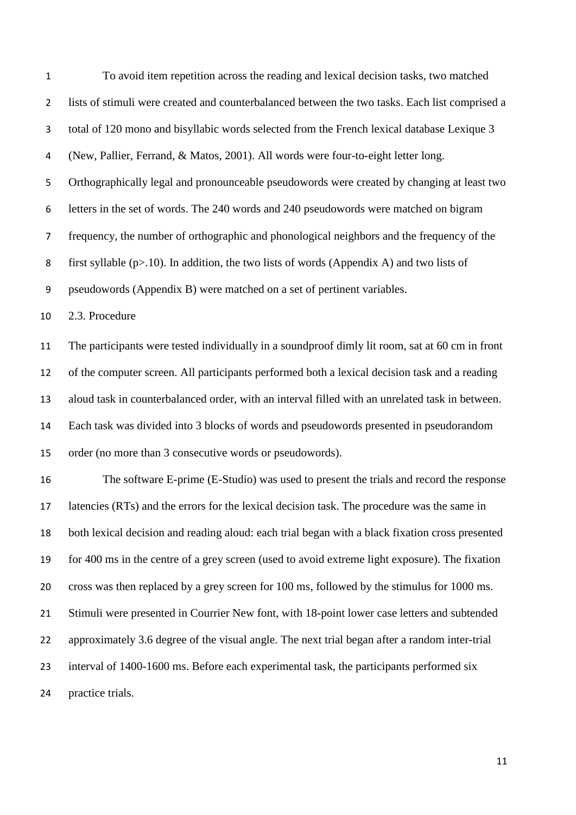| $\mathbf 1$    | To avoid item repetition across the reading and lexical decision tasks, two matched             |
|----------------|-------------------------------------------------------------------------------------------------|
| $\overline{2}$ | lists of stimuli were created and counterbalanced between the two tasks. Each list comprised a  |
| 3              | total of 120 mono and bisyllabic words selected from the French lexical database Lexique 3      |
| 4              | (New, Pallier, Ferrand, & Matos, 2001). All words were four-to-eight letter long.               |
| 5              | Orthographically legal and pronounceable pseudowords were created by changing at least two      |
| 6              | letters in the set of words. The 240 words and 240 pseudowords were matched on bigram           |
| $\overline{7}$ | frequency, the number of orthographic and phonological neighbors and the frequency of the       |
| 8              | first syllable ( $p>10$ ). In addition, the two lists of words (Appendix A) and two lists of    |
| 9              | pseudowords (Appendix B) were matched on a set of pertinent variables.                          |
| 10             | 2.3. Procedure                                                                                  |
| 11             | The participants were tested individually in a soundproof dimly lit room, sat at 60 cm in front |
| 12             | of the computer screen. All participants performed both a lexical decision task and a reading   |
| 13             | aloud task in counterbalanced order, with an interval filled with an unrelated task in between. |
| 14             | Each task was divided into 3 blocks of words and pseudowords presented in pseudorandom          |
| 15             | order (no more than 3 consecutive words or pseudowords).                                        |
| 16             | The software E-prime (E-Studio) was used to present the trials and record the response          |
|                | 17 latencies (RTs) and the errors for the lexical decision task. The procedure was the same in  |
| 18             | both lexical decision and reading aloud: each trial began with a black fixation cross presented |
| 19             | for 400 ms in the centre of a grey screen (used to avoid extreme light exposure). The fixation  |
| 20             | cross was then replaced by a grey screen for 100 ms, followed by the stimulus for 1000 ms.      |
| 21             | Stimuli were presented in Courrier New font, with 18-point lower case letters and subtended     |
| 22             | approximately 3.6 degree of the visual angle. The next trial began after a random inter-trial   |
| 23             | interval of 1400-1600 ms. Before each experimental task, the participants performed six         |
| 24             | practice trials.                                                                                |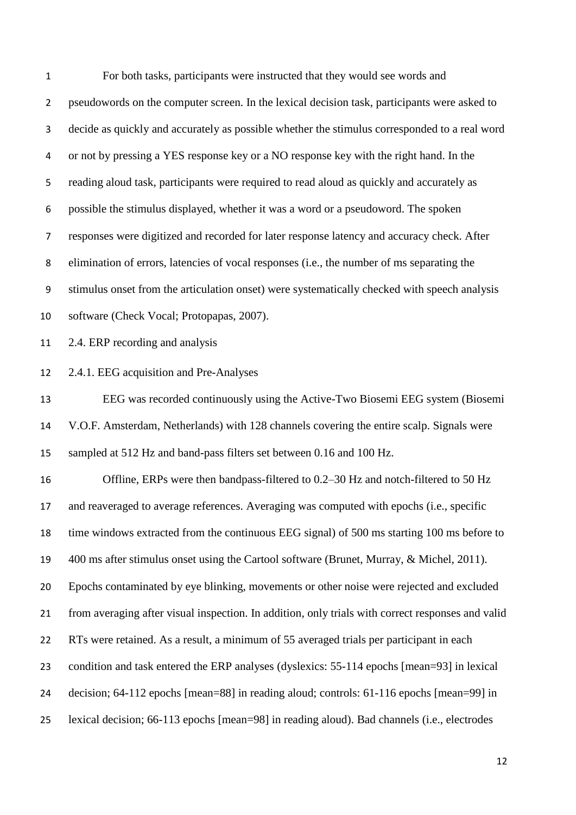For both tasks, participants were instructed that they would see words and pseudowords on the computer screen. In the lexical decision task, participants were asked to decide as quickly and accurately as possible whether the stimulus corresponded to a real word or not by pressing a YES response key or a NO response key with the right hand. In the reading aloud task, participants were required to read aloud as quickly and accurately as possible the stimulus displayed, whether it was a word or a pseudoword. The spoken responses were digitized and recorded for later response latency and accuracy check. After elimination of errors, latencies of vocal responses (i.e., the number of ms separating the stimulus onset from the articulation onset) were systematically checked with speech analysis software (Check Vocal; Protopapas, 2007). 2.4. ERP recording and analysis 2.4.1. EEG acquisition and Pre-Analyses EEG was recorded continuously using the Active-Two Biosemi EEG system (Biosemi V.O.F. Amsterdam, Netherlands) with 128 channels covering the entire scalp. Signals were sampled at 512 Hz and band-pass filters set between 0.16 and 100 Hz. Offline, ERPs were then bandpass-filtered to 0.2–30 Hz and notch-filtered to 50 Hz and reaveraged to average references. Averaging was computed with epochs (i.e., specific time windows extracted from the continuous EEG signal) of 500 ms starting 100 ms before to 400 ms after stimulus onset using the Cartool software (Brunet, Murray, & Michel, 2011). Epochs contaminated by eye blinking, movements or other noise were rejected and excluded from averaging after visual inspection. In addition, only trials with correct responses and valid RTs were retained. As a result, a minimum of 55 averaged trials per participant in each condition and task entered the ERP analyses (dyslexics: 55-114 epochs [mean=93] in lexical decision; 64-112 epochs [mean=88] in reading aloud; controls: 61-116 epochs [mean=99] in lexical decision; 66-113 epochs [mean=98] in reading aloud). Bad channels (i.e., electrodes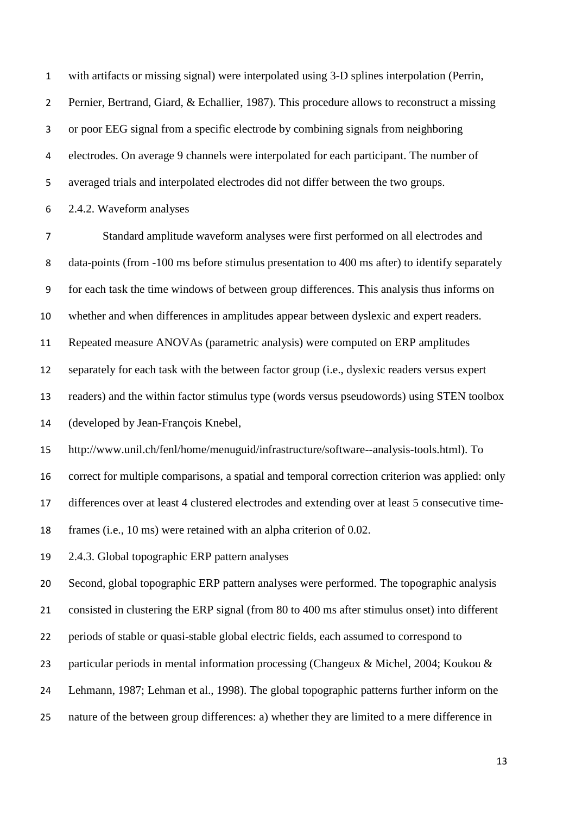with artifacts or missing signal) were interpolated using 3-D splines interpolation (Perrin, Pernier, Bertrand, Giard, & Echallier, 1987). This procedure allows to reconstruct a missing or poor EEG signal from a specific electrode by combining signals from neighboring electrodes. On average 9 channels were interpolated for each participant. The number of averaged trials and interpolated electrodes did not differ between the two groups.

2.4.2. Waveform analyses

 Standard amplitude waveform analyses were first performed on all electrodes and data-points (from -100 ms before stimulus presentation to 400 ms after) to identify separately for each task the time windows of between group differences. This analysis thus informs on whether and when differences in amplitudes appear between dyslexic and expert readers. Repeated measure ANOVAs (parametric analysis) were computed on ERP amplitudes separately for each task with the between factor group (i.e., dyslexic readers versus expert readers) and the within factor stimulus type (words versus pseudowords) using STEN toolbox (developed by Jean-François Knebel,

http://www.unil.ch/fenl/home/menuguid/infrastructure/software--analysis-tools.html). To

correct for multiple comparisons, a spatial and temporal correction criterion was applied: only

differences over at least 4 clustered electrodes and extending over at least 5 consecutive time-

frames (i.e., 10 ms) were retained with an alpha criterion of 0.02.

2.4.3. Global topographic ERP pattern analyses

 Second, global topographic ERP pattern analyses were performed. The topographic analysis consisted in clustering the ERP signal (from 80 to 400 ms after stimulus onset) into different periods of stable or quasi-stable global electric fields, each assumed to correspond to particular periods in mental information processing (Changeux & Michel, 2004; Koukou & Lehmann, 1987; Lehman et al., 1998). The global topographic patterns further inform on the nature of the between group differences: a) whether they are limited to a mere difference in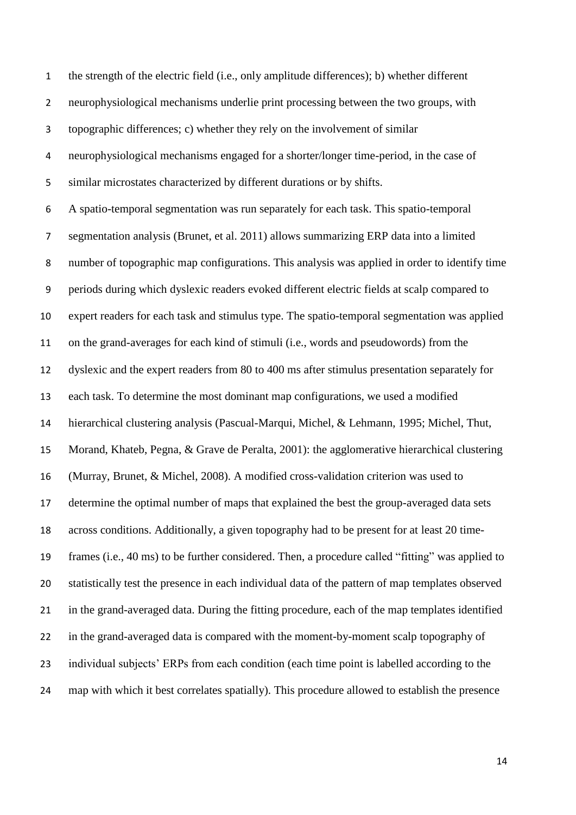the strength of the electric field (i.e., only amplitude differences); b) whether different neurophysiological mechanisms underlie print processing between the two groups, with topographic differences; c) whether they rely on the involvement of similar neurophysiological mechanisms engaged for a shorter/longer time-period, in the case of similar microstates characterized by different durations or by shifts. A spatio-temporal segmentation was run separately for each task. This spatio-temporal segmentation analysis (Brunet, et al. 2011) allows summarizing ERP data into a limited number of topographic map configurations. This analysis was applied in order to identify time periods during which dyslexic readers evoked different electric fields at scalp compared to expert readers for each task and stimulus type. The spatio-temporal segmentation was applied on the grand-averages for each kind of stimuli (i.e., words and pseudowords) from the dyslexic and the expert readers from 80 to 400 ms after stimulus presentation separately for each task. To determine the most dominant map configurations, we used a modified hierarchical clustering analysis (Pascual-Marqui, Michel, & Lehmann, 1995; Michel, Thut, Morand, Khateb, Pegna, & Grave de Peralta, 2001): the agglomerative hierarchical clustering (Murray, Brunet, & Michel, 2008). A modified cross-validation criterion was used to determine the optimal number of maps that explained the best the group-averaged data sets across conditions. Additionally, a given topography had to be present for at least 20 time- frames (i.e., 40 ms) to be further considered. Then, a procedure called "fitting" was applied to statistically test the presence in each individual data of the pattern of map templates observed in the grand-averaged data. During the fitting procedure, each of the map templates identified in the grand-averaged data is compared with the moment-by-moment scalp topography of individual subjects' ERPs from each condition (each time point is labelled according to the map with which it best correlates spatially). This procedure allowed to establish the presence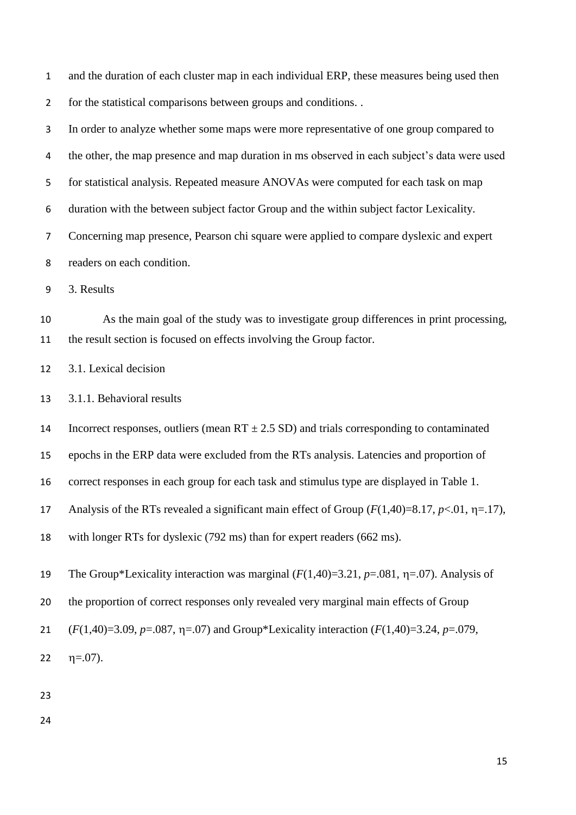and the duration of each cluster map in each individual ERP, these measures being used then for the statistical comparisons between groups and conditions. .

 In order to analyze whether some maps were more representative of one group compared to 4 the other, the map presence and map duration in ms observed in each subject's data were used for statistical analysis. Repeated measure ANOVAs were computed for each task on map duration with the between subject factor Group and the within subject factor Lexicality. Concerning map presence, Pearson chi square were applied to compare dyslexic and expert readers on each condition.

3. Results

 As the main goal of the study was to investigate group differences in print processing, the result section is focused on effects involving the Group factor.

3.1. Lexical decision

3.1.1. Behavioral results

14 Incorrect responses, outliers (mean  $RT \pm 2.5$  SD) and trials corresponding to contaminated

epochs in the ERP data were excluded from the RTs analysis. Latencies and proportion of

correct responses in each group for each task and stimulus type are displayed in Table 1.

17 Analysis of the RTs revealed a significant main effect of Group  $(F(1,40)=8.17, p<.01, \eta=17)$ ,

with longer RTs for dyslexic (792 ms) than for expert readers (662 ms).

19 The Group\*Lexicality interaction was marginal  $(F(1,40)=3.21, p=.081, \eta=.07)$ . Analysis of

the proportion of correct responses only revealed very marginal main effects of Group

21  $(F(1,40)=3.09, p=.087, \eta=.07)$  and Group\*Lexicality interaction  $(F(1,40)=3.24, p=.079,$ 

22  $\eta = .07$ ).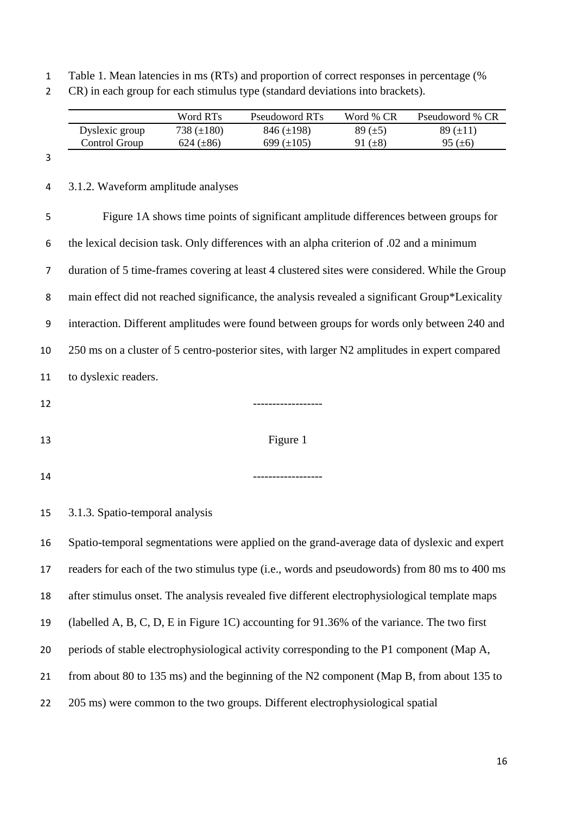Table 1. Mean latencies in ms (RTs) and proportion of correct responses in percentage (%

|  |  |  |  |  |  | CR) in each group for each stimulus type (standard deviations into brackets). |
|--|--|--|--|--|--|-------------------------------------------------------------------------------|
|--|--|--|--|--|--|-------------------------------------------------------------------------------|

|                | Word RTs        | Pseudoword RTs  | Word % CR    | Pseudoword % CR |
|----------------|-----------------|-----------------|--------------|-----------------|
| Dyslexic group | 738 $(\pm 180)$ | $846 (\pm 198)$ | 89 $(\pm 5)$ | $89 \ (\pm 11)$ |
| Control Group  | 624 $(\pm 86)$  | 699 $(\pm 105)$ | 91 $(\pm 8)$ | 95 $(\pm 6)$    |

#### 

3.1.2. Waveform amplitude analyses

 Figure 1A shows time points of significant amplitude differences between groups for the lexical decision task. Only differences with an alpha criterion of .02 and a minimum duration of 5 time-frames covering at least 4 clustered sites were considered. While the Group main effect did not reached significance, the analysis revealed a significant Group\*Lexicality interaction. Different amplitudes were found between groups for words only between 240 and 250 ms on a cluster of 5 centro-posterior sites, with larger N2 amplitudes in expert compared to dyslexic readers.

- ------------------
- 
- 13 Figure 1
- ------------------

3.1.3. Spatio-temporal analysis

 Spatio-temporal segmentations were applied on the grand-average data of dyslexic and expert readers for each of the two stimulus type (i.e., words and pseudowords) from 80 ms to 400 ms after stimulus onset. The analysis revealed five different electrophysiological template maps (labelled A, B, C, D, E in Figure 1C) accounting for 91.36% of the variance. The two first periods of stable electrophysiological activity corresponding to the P1 component (Map A, from about 80 to 135 ms) and the beginning of the N2 component (Map B, from about 135 to 22 205 ms) were common to the two groups. Different electrophysiological spatial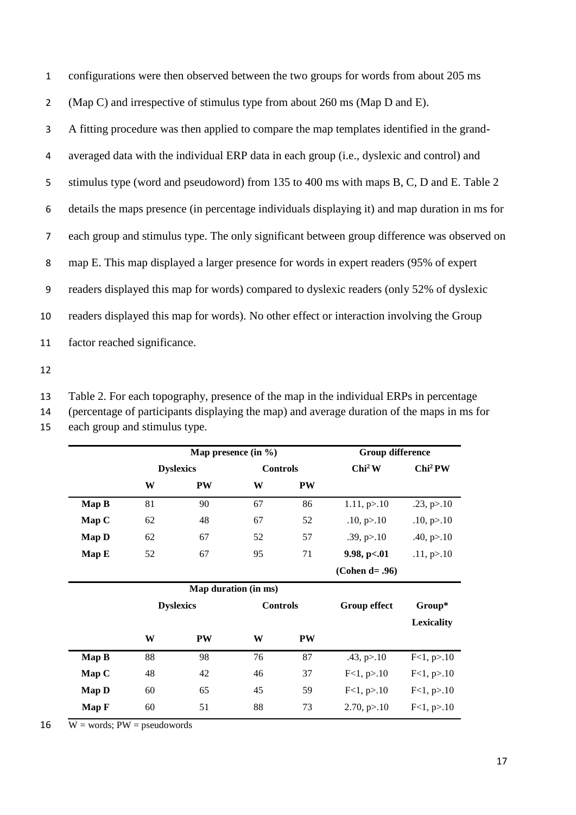configurations were then observed between the two groups for words from about 205 ms (Map C) and irrespective of stimulus type from about 260 ms (Map D and E). A fitting procedure was then applied to compare the map templates identified in the grand- averaged data with the individual ERP data in each group (i.e., dyslexic and control) and 5 stimulus type (word and pseudoword) from 135 to 400 ms with maps B, C, D and E. Table 2 details the maps presence (in percentage individuals displaying it) and map duration in ms for each group and stimulus type. The only significant between group difference was observed on map E. This map displayed a larger presence for words in expert readers (95% of expert readers displayed this map for words) compared to dyslexic readers (only 52% of dyslexic readers displayed this map for words). No other effect or interaction involving the Group factor reached significance.

12

13 Table 2. For each topography, presence of the map in the individual ERPs in percentage

|  | 14 (percentage of participants displaying the map) and average duration of the maps in ms for                                                 |
|--|-----------------------------------------------------------------------------------------------------------------------------------------------|
|  | $\frac{1}{2}$ , $\frac{1}{2}$ , $\frac{1}{2}$ , $\frac{1}{2}$ , $\frac{1}{2}$ , $\frac{1}{2}$ , $\frac{1}{2}$ , $\frac{1}{2}$ , $\frac{1}{2}$ |

15 each group and stimulus type.

|              |    |                  | Map presence $(in \%)$ |    | <b>Group difference</b> |                     |
|--------------|----|------------------|------------------------|----|-------------------------|---------------------|
|              |    | <b>Dyslexics</b> | <b>Controls</b>        |    | Chi <sup>2</sup> W      | Chi <sup>2</sup> PW |
|              | W  | PW               | W                      | PW |                         |                     |
| Map B        | 81 | 90               | 67                     | 86 | 1.11, p > 10            | .23, p > .10        |
| Map C        | 62 | 48               | 67                     | 52 | .10, p > .10            | .10, p > 10         |
| <b>Map D</b> | 62 | 67               | 52                     | 57 | .39, p > .10            | .40, p > 10         |
| Map E        | 52 | 67               | 95                     | 71 | 9.98, p<.01             | .11, p > 10         |
|              |    |                  |                        |    | (Cohen d= .96)          |                     |
|              |    |                  | Map duration (in ms)   |    |                         |                     |
|              |    | <b>Dyslexics</b> | <b>Controls</b>        |    | <b>Group effect</b>     | Group*              |
|              |    |                  |                        |    |                         | <b>Lexicality</b>   |
|              | W  | <b>PW</b>        | W                      | PW |                         |                     |
| Map B        | 88 | 98               | 76                     | 87 | .43, p > .10            | F<1, p>10           |
| Map C        | 48 | 42               | 46                     | 37 | F<1, p>10               | F<1, p>10           |
| <b>Map D</b> | 60 | 65               | 45                     | 59 | F<1, p>10               | F<1, p>10           |
|              |    |                  |                        |    |                         |                     |

16  $\overline{W}$  = words; PW = pseudowords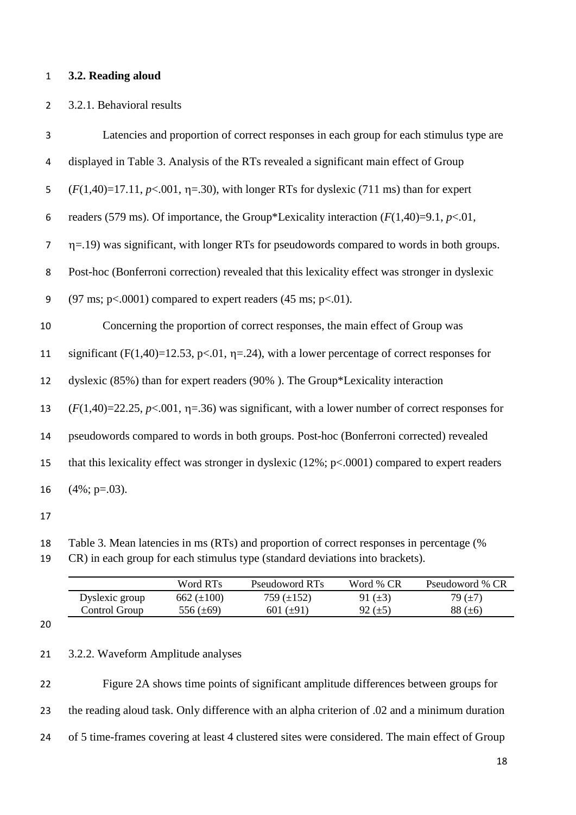#### **3.2. Reading aloud**

#### 3.2.1. Behavioral results

| 3  | Latencies and proportion of correct responses in each group for each stimulus type are                 |
|----|--------------------------------------------------------------------------------------------------------|
| 4  | displayed in Table 3. Analysis of the RTs revealed a significant main effect of Group                  |
| 5  | $(F(1,40)=17.11, p<.001, \eta=30)$ , with longer RTs for dyslexic (711 ms) than for expert             |
| 6  | readers (579 ms). Of importance, the Group*Lexicality interaction $(F(1,40)=9.1, p<.01,$               |
| 7  | $\eta$ =.19) was significant, with longer RTs for pseudowords compared to words in both groups.        |
| 8  | Post-hoc (Bonferroni correction) revealed that this lexicality effect was stronger in dyslexic         |
| 9  | $(97 \text{ ms}; \text{ p} < 0.0001)$ compared to expert readers $(45 \text{ ms}; \text{ p} < 0.01)$ . |
| 10 | Concerning the proportion of correct responses, the main effect of Group was                           |
| 11 | significant (F(1,40)=12.53, p<.01, $\eta$ =.24), with a lower percentage of correct responses for      |
| 12 | dyslexic (85%) than for expert readers (90%). The Group*Lexicality interaction                         |
| 13 | $(F(1,40)=22.25, p<.001, \eta=.36)$ was significant, with a lower number of correct responses for      |
| 14 | pseudowords compared to words in both groups. Post-hoc (Bonferroni corrected) revealed                 |
| 15 | that this lexicality effect was stronger in dyslexic $(12\%; p<.0001)$ compared to expert readers      |
|    |                                                                                                        |
| 16 | $(4\%; p=.03)$ .                                                                                       |

Table 3. Mean latencies in ms (RTs) and proportion of correct responses in percentage (%

CR) in each group for each stimulus type (standard deviations into brackets).

| 662 $(\pm 100)$<br>Dyslexic group<br>759 (±152)<br>91 $(\pm 3)$               | Pseudoword % CR |
|-------------------------------------------------------------------------------|-----------------|
|                                                                               | 79 (±7)         |
| Control Group<br>88 $(\pm 6)$<br>601 ( $\pm$ 91)<br>556 (±69)<br>92 $(\pm 5)$ |                 |

3.2.2. Waveform Amplitude analyses

 Figure 2A shows time points of significant amplitude differences between groups for the reading aloud task. Only difference with an alpha criterion of .02 and a minimum duration of 5 time-frames covering at least 4 clustered sites were considered. The main effect of Group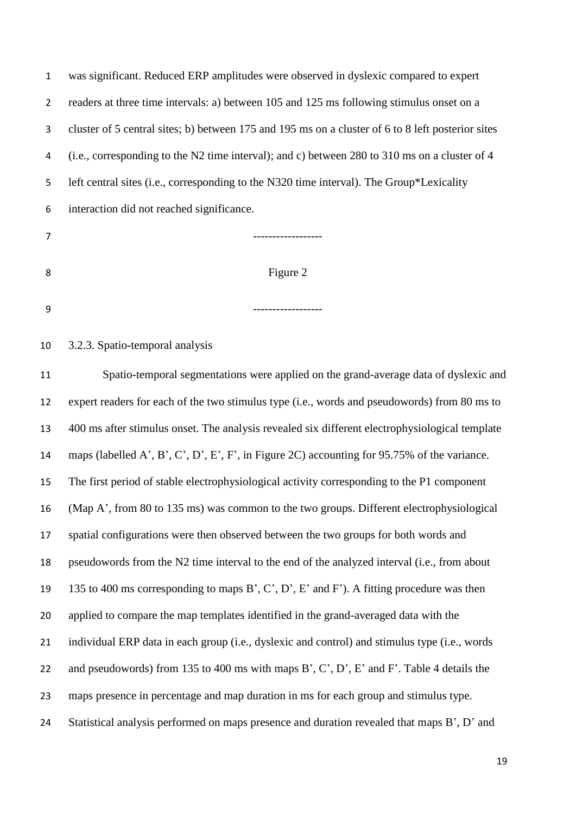| 1              | was significant. Reduced ERP amplitudes were observed in dyslexic compared to expert              |
|----------------|---------------------------------------------------------------------------------------------------|
| $\overline{2}$ | readers at three time intervals: a) between 105 and 125 ms following stimulus onset on a          |
| 3              | cluster of 5 central sites; b) between 175 and 195 ms on a cluster of 6 to 8 left posterior sites |
| 4              | (i.e., corresponding to the N2 time interval); and c) between 280 to 310 ms on a cluster of 4     |
| 5              | left central sites (i.e., corresponding to the N320 time interval). The Group*Lexicality          |
| 6              | interaction did not reached significance.                                                         |
| 7              |                                                                                                   |
| 8              | Figure 2                                                                                          |
| 9              |                                                                                                   |
| 10             | 3.2.3. Spatio-temporal analysis                                                                   |
| 11             | Spatio-temporal segmentations were applied on the grand-average data of dyslexic and              |
| 12             | expert readers for each of the two stimulus type (i.e., words and pseudowords) from 80 ms to      |
|                |                                                                                                   |

 expert readers for each of the two stimulus type (i.e., words and pseudowords) from 80 ms to 400 ms after stimulus onset. The analysis revealed six different electrophysiological template maps (labelled A', B', C', D', E', F', in Figure 2C) accounting for 95.75% of the variance. The first period of stable electrophysiological activity corresponding to the P1 component (Map A', from 80 to 135 ms) was common to the two groups. Different electrophysiological spatial configurations were then observed between the two groups for both words and pseudowords from the N2 time interval to the end of the analyzed interval (i.e., from about 135 to 400 ms corresponding to maps B', C', D', E' and F'). A fitting procedure was then applied to compare the map templates identified in the grand-averaged data with the individual ERP data in each group (i.e., dyslexic and control) and stimulus type (i.e., words and pseudowords) from 135 to 400 ms with maps B', C', D', E' and F'. Table 4 details the maps presence in percentage and map duration in ms for each group and stimulus type. 24 Statistical analysis performed on maps presence and duration revealed that maps B', D' and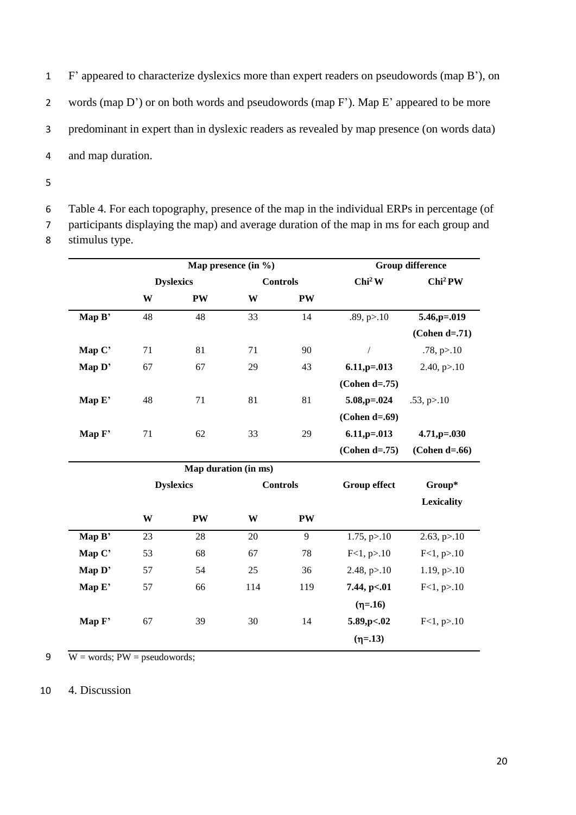F' appeared to characterize dyslexics more than expert readers on pseudowords (map B'), on words (map D') or on both words and pseudowords (map F'). Map E' appeared to be more predominant in expert than in dyslexic readers as revealed by map presence (on words data) and map duration.

5

6 Table 4. For each topography, presence of the map in the individual ERPs in percentage (of 7 participants displaying the map) and average duration of the map in ms for each group and

8 stimulus type.

|        |                  |                  | Map presence (in $\%$ ) |                 |                      | <b>Group difference</b> |
|--------|------------------|------------------|-------------------------|-----------------|----------------------|-------------------------|
|        | <b>Dyslexics</b> |                  |                         | <b>Controls</b> | Chi <sup>2</sup> W   | Chi <sup>2</sup> PW     |
|        | W                | <b>PW</b>        | W                       | PW              |                      |                         |
| Map B' | 48               | 48               | 33                      | 14              | .89, p > .10         | 5.46,p=.019             |
|        |                  |                  |                         |                 |                      | $(Cohen d=.71)$         |
| Map C' | 71               | 81               | 71                      | 90              | $\sqrt{2}$           | .78, p > 10             |
| Map D' | 67               | 67               | 29                      | 43              | $6.11$ , p= $.013$   | 2.40, $p > 10$          |
|        |                  |                  |                         |                 | $(Cohen d=.75)$      |                         |
| Map E' | 48               | 71               | 81                      | 81              | $5.08$ , $p = 0.024$ | .53, p > 10             |
|        |                  |                  |                         |                 | $(Cohen d=.69)$      |                         |
| Map F' | 71               | 62               | 33                      | 29              | $6.11$ , p= $.013$   | $4.71, p = .030$        |
|        |                  |                  |                         |                 | $(Cohen d=.75)$      | $(Cohen d=.66)$         |
|        |                  |                  | Map duration (in ms)    |                 |                      |                         |
|        |                  | <b>Dyslexics</b> |                         | <b>Controls</b> | <b>Group effect</b>  | Group*                  |
|        |                  |                  |                         |                 |                      | <b>Lexicality</b>       |
|        | W                | PW               | W                       | PW              |                      |                         |
| Map B' | 23               | 28               | 20                      | 9               | $1.75$ , p $>10$     | $2.63$ , $p > 10$       |
| Map C' | 53               | 68               | 67                      | $78\,$          | F<1, p>10            | F<1, p>10               |
| Map D' | 57               | 54               | 25                      | 36              | 2.48, $p > 10$       | $1.19$ , $p > 10$       |
| Map E' | 57               | 66               | 114                     | 119             | 7.44, p<.01          | F<1, p>10               |
|        |                  |                  |                         |                 | $(n=16)$             |                         |
| Map F' | 67               | 39               | 30                      | 14              | 5.89, p <. 02        | F<1, p>10               |
|        |                  |                  |                         |                 | $(n=.13)$            |                         |
|        |                  |                  |                         |                 |                      |                         |

9  $W = words$ ; PW = pseudowords;

10 4. Discussion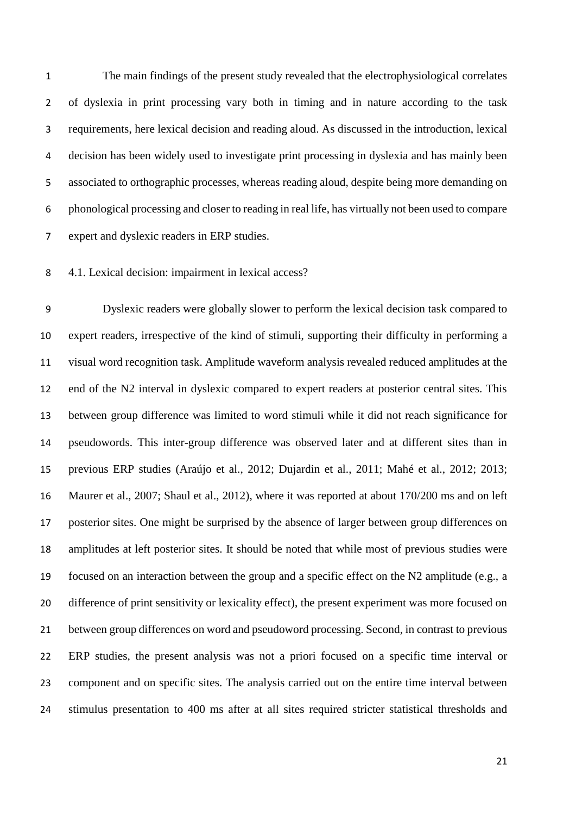The main findings of the present study revealed that the electrophysiological correlates of dyslexia in print processing vary both in timing and in nature according to the task requirements, here lexical decision and reading aloud. As discussed in the introduction, lexical decision has been widely used to investigate print processing in dyslexia and has mainly been associated to orthographic processes, whereas reading aloud, despite being more demanding on phonological processing and closer to reading in real life, has virtually not been used to compare expert and dyslexic readers in ERP studies.

4.1. Lexical decision: impairment in lexical access?

 Dyslexic readers were globally slower to perform the lexical decision task compared to expert readers, irrespective of the kind of stimuli, supporting their difficulty in performing a visual word recognition task. Amplitude waveform analysis revealed reduced amplitudes at the end of the N2 interval in dyslexic compared to expert readers at posterior central sites. This between group difference was limited to word stimuli while it did not reach significance for pseudowords. This inter-group difference was observed later and at different sites than in previous ERP studies (Araújo et al., 2012; Dujardin et al., 2011; Mahé et al., 2012; 2013; Maurer et al., 2007; Shaul et al., 2012), where it was reported at about 170/200 ms and on left posterior sites. One might be surprised by the absence of larger between group differences on amplitudes at left posterior sites. It should be noted that while most of previous studies were focused on an interaction between the group and a specific effect on the N2 amplitude (e.g., a difference of print sensitivity or lexicality effect), the present experiment was more focused on between group differences on word and pseudoword processing. Second, in contrast to previous ERP studies, the present analysis was not a priori focused on a specific time interval or component and on specific sites. The analysis carried out on the entire time interval between stimulus presentation to 400 ms after at all sites required stricter statistical thresholds and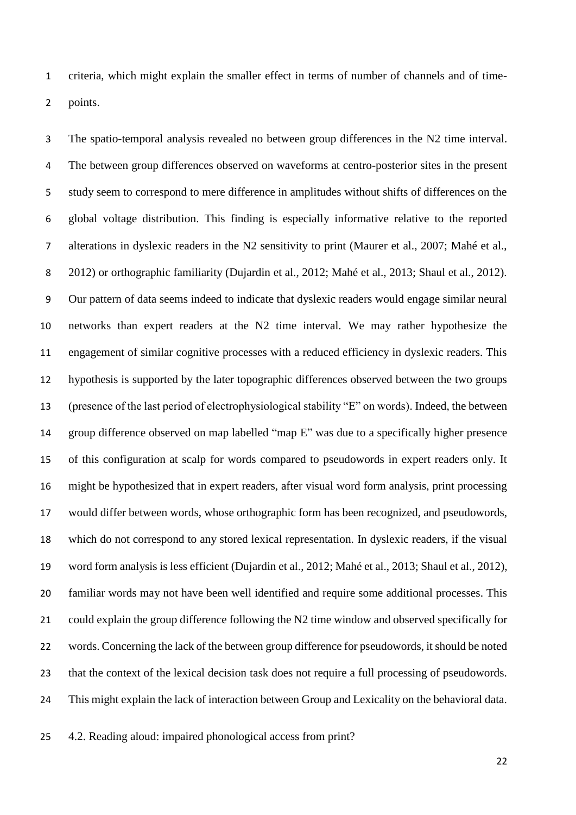criteria, which might explain the smaller effect in terms of number of channels and of time-points.

 The spatio-temporal analysis revealed no between group differences in the N2 time interval. The between group differences observed on waveforms at centro-posterior sites in the present study seem to correspond to mere difference in amplitudes without shifts of differences on the global voltage distribution. This finding is especially informative relative to the reported alterations in dyslexic readers in the N2 sensitivity to print (Maurer et al., 2007; Mahé et al., 2012) or orthographic familiarity (Dujardin et al., 2012; Mahé et al., 2013; Shaul et al., 2012). Our pattern of data seems indeed to indicate that dyslexic readers would engage similar neural networks than expert readers at the N2 time interval. We may rather hypothesize the engagement of similar cognitive processes with a reduced efficiency in dyslexic readers. This hypothesis is supported by the later topographic differences observed between the two groups (presence of the last period of electrophysiological stability "E" on words). Indeed, the between group difference observed on map labelled "map E" was due to a specifically higher presence of this configuration at scalp for words compared to pseudowords in expert readers only. It might be hypothesized that in expert readers, after visual word form analysis, print processing would differ between words, whose orthographic form has been recognized, and pseudowords, which do not correspond to any stored lexical representation. In dyslexic readers, if the visual word form analysis is less efficient (Dujardin et al., 2012; Mahé et al., 2013; Shaul et al., 2012), familiar words may not have been well identified and require some additional processes. This could explain the group difference following the N2 time window and observed specifically for words. Concerning the lack of the between group difference for pseudowords, it should be noted that the context of the lexical decision task does not require a full processing of pseudowords. This might explain the lack of interaction between Group and Lexicality on the behavioral data.

4.2. Reading aloud: impaired phonological access from print?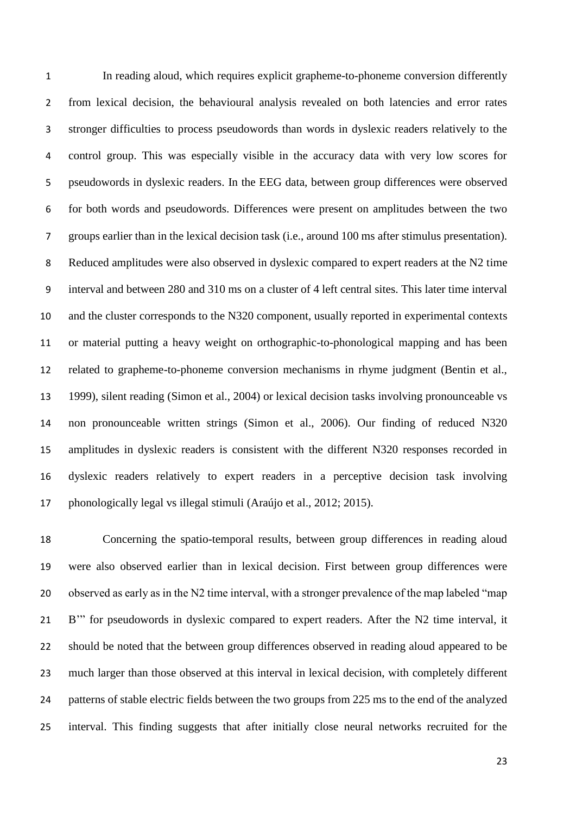In reading aloud, which requires explicit grapheme-to-phoneme conversion differently from lexical decision, the behavioural analysis revealed on both latencies and error rates stronger difficulties to process pseudowords than words in dyslexic readers relatively to the control group. This was especially visible in the accuracy data with very low scores for pseudowords in dyslexic readers. In the EEG data, between group differences were observed for both words and pseudowords. Differences were present on amplitudes between the two groups earlier than in the lexical decision task (i.e., around 100 ms after stimulus presentation). Reduced amplitudes were also observed in dyslexic compared to expert readers at the N2 time interval and between 280 and 310 ms on a cluster of 4 left central sites. This later time interval and the cluster corresponds to the N320 component, usually reported in experimental contexts or material putting a heavy weight on orthographic-to-phonological mapping and has been related to grapheme-to-phoneme conversion mechanisms in rhyme judgment (Bentin et al., 1999), silent reading (Simon et al., 2004) or lexical decision tasks involving pronounceable vs non pronounceable written strings (Simon et al., 2006). Our finding of reduced N320 amplitudes in dyslexic readers is consistent with the different N320 responses recorded in dyslexic readers relatively to expert readers in a perceptive decision task involving phonologically legal vs illegal stimuli (Araújo et al., 2012; 2015).

 Concerning the spatio-temporal results, between group differences in reading aloud were also observed earlier than in lexical decision. First between group differences were observed as early as in the N2 time interval, with a stronger prevalence of the map labeled "map B'" for pseudowords in dyslexic compared to expert readers. After the N2 time interval, it should be noted that the between group differences observed in reading aloud appeared to be much larger than those observed at this interval in lexical decision, with completely different patterns of stable electric fields between the two groups from 225 ms to the end of the analyzed interval. This finding suggests that after initially close neural networks recruited for the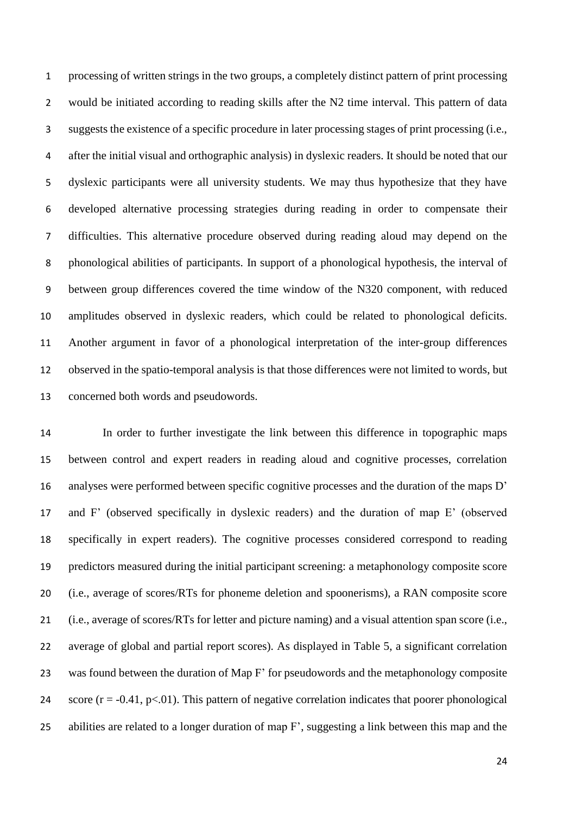processing of written strings in the two groups, a completely distinct pattern of print processing would be initiated according to reading skills after the N2 time interval. This pattern of data suggests the existence of a specific procedure in later processing stages of print processing (i.e., after the initial visual and orthographic analysis) in dyslexic readers. It should be noted that our dyslexic participants were all university students. We may thus hypothesize that they have developed alternative processing strategies during reading in order to compensate their difficulties. This alternative procedure observed during reading aloud may depend on the phonological abilities of participants. In support of a phonological hypothesis, the interval of between group differences covered the time window of the N320 component, with reduced amplitudes observed in dyslexic readers, which could be related to phonological deficits. Another argument in favor of a phonological interpretation of the inter-group differences observed in the spatio-temporal analysis is that those differences were not limited to words, but concerned both words and pseudowords.

 In order to further investigate the link between this difference in topographic maps between control and expert readers in reading aloud and cognitive processes, correlation analyses were performed between specific cognitive processes and the duration of the maps D' and F' (observed specifically in dyslexic readers) and the duration of map E' (observed specifically in expert readers). The cognitive processes considered correspond to reading predictors measured during the initial participant screening: a metaphonology composite score (i.e., average of scores/RTs for phoneme deletion and spoonerisms), a RAN composite score (i.e., average of scores/RTs for letter and picture naming) and a visual attention span score (i.e., average of global and partial report scores). As displayed in Table 5, a significant correlation was found between the duration of Map F' for pseudowords and the metaphonology composite 24 score  $(r = -0.41, p < 0.01)$ . This pattern of negative correlation indicates that poorer phonological abilities are related to a longer duration of map F', suggesting a link between this map and the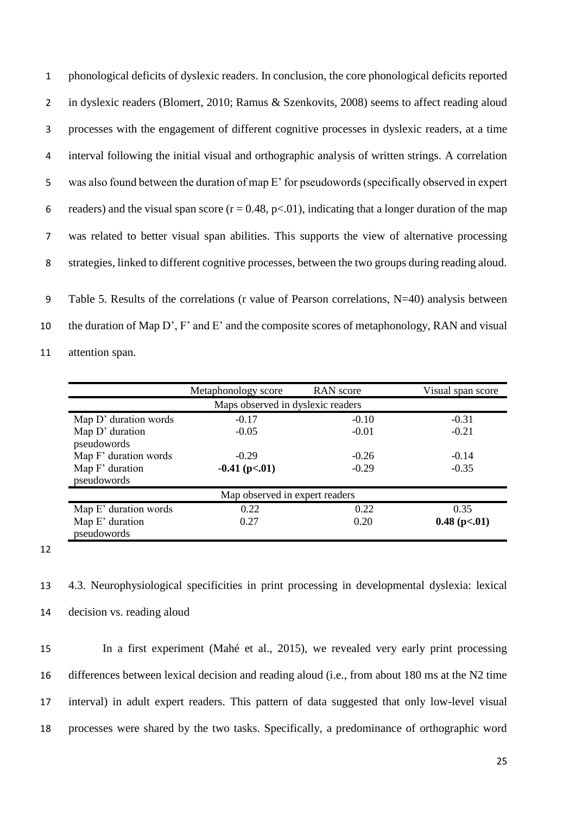| $\mathbf{1}$    | phonological deficits of dyslexic readers. In conclusion, the core phonological deficits reported          |
|-----------------|------------------------------------------------------------------------------------------------------------|
| $2^{\circ}$     | in dyslexic readers (Blomert, 2010; Ramus & Szenkovits, 2008) seems to affect reading aloud                |
| 3               | processes with the engagement of different cognitive processes in dyslexic readers, at a time              |
| 4               | interval following the initial visual and orthographic analysis of written strings. A correlation          |
| 5               | was also found between the duration of map E' for pseudowords (specifically observed in expert             |
| 6               | readers) and the visual span score ( $r = 0.48$ , $p < 01$ ), indicating that a longer duration of the map |
| $7\overline{ }$ | was related to better visual span abilities. This supports the view of alternative processing              |
| 8               | strategies, linked to different cognitive processes, between the two groups during reading aloud.          |
| 9               | Table 5. Results of the correlations (r value of Pearson correlations, N=40) analysis between              |

10 the duration of Map D', F' and E' and the composite scores of metaphonology, RAN and visual

11 attention span.

|                       | Metaphonology score               | RAN score | Visual span score    |
|-----------------------|-----------------------------------|-----------|----------------------|
|                       | Maps observed in dyslexic readers |           |                      |
| Map D' duration words | $-0.17$                           | $-0.10$   | $-0.31$              |
| Map D' duration       | $-0.05$                           | $-0.01$   | $-0.21$              |
| pseudowords           |                                   |           |                      |
| Map F' duration words | $-0.29$                           | $-0.26$   | $-0.14$              |
| Map F' duration       | $-0.41$ (p $< 01$ )               | $-0.29$   | $-0.35$              |
| pseudowords           |                                   |           |                      |
|                       | Map observed in expert readers    |           |                      |
| Map E' duration words | 0.22                              | 0.22      | 0.35                 |
| Map E' duration       | 0.27                              | 0.20      | $0.48$ (p $< 0.01$ ) |
| pseudowords           |                                   |           |                      |

12

13 4.3. Neurophysiological specificities in print processing in developmental dyslexia: lexical 14 decision vs. reading aloud

 In a first experiment (Mahé et al., 2015), we revealed very early print processing differences between lexical decision and reading aloud (i.e., from about 180 ms at the N2 time interval) in adult expert readers. This pattern of data suggested that only low-level visual processes were shared by the two tasks. Specifically, a predominance of orthographic word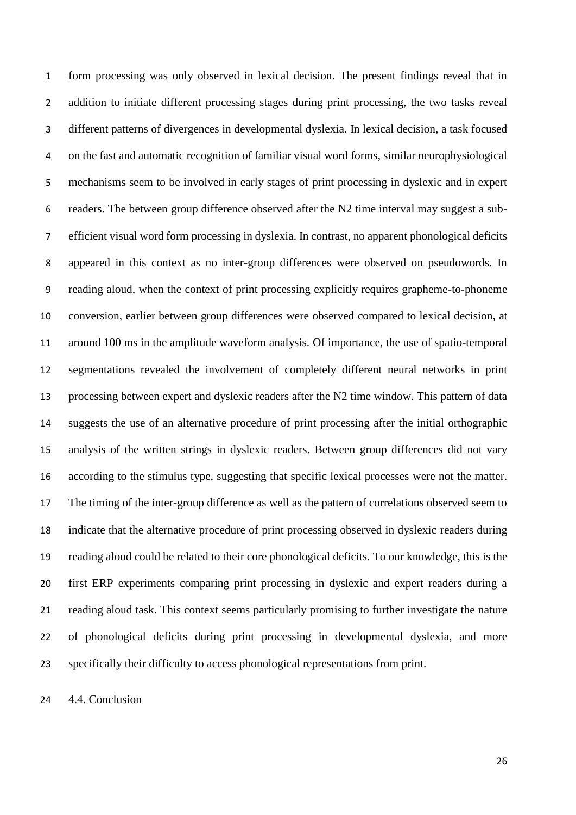form processing was only observed in lexical decision. The present findings reveal that in addition to initiate different processing stages during print processing, the two tasks reveal different patterns of divergences in developmental dyslexia. In lexical decision, a task focused on the fast and automatic recognition of familiar visual word forms, similar neurophysiological mechanisms seem to be involved in early stages of print processing in dyslexic and in expert readers. The between group difference observed after the N2 time interval may suggest a sub- efficient visual word form processing in dyslexia. In contrast, no apparent phonological deficits appeared in this context as no inter-group differences were observed on pseudowords. In reading aloud, when the context of print processing explicitly requires grapheme-to-phoneme conversion, earlier between group differences were observed compared to lexical decision, at around 100 ms in the amplitude waveform analysis. Of importance, the use of spatio-temporal segmentations revealed the involvement of completely different neural networks in print processing between expert and dyslexic readers after the N2 time window. This pattern of data suggests the use of an alternative procedure of print processing after the initial orthographic analysis of the written strings in dyslexic readers. Between group differences did not vary according to the stimulus type, suggesting that specific lexical processes were not the matter. The timing of the inter-group difference as well as the pattern of correlations observed seem to indicate that the alternative procedure of print processing observed in dyslexic readers during reading aloud could be related to their core phonological deficits. To our knowledge, this is the first ERP experiments comparing print processing in dyslexic and expert readers during a reading aloud task. This context seems particularly promising to further investigate the nature of phonological deficits during print processing in developmental dyslexia, and more specifically their difficulty to access phonological representations from print.

4.4. Conclusion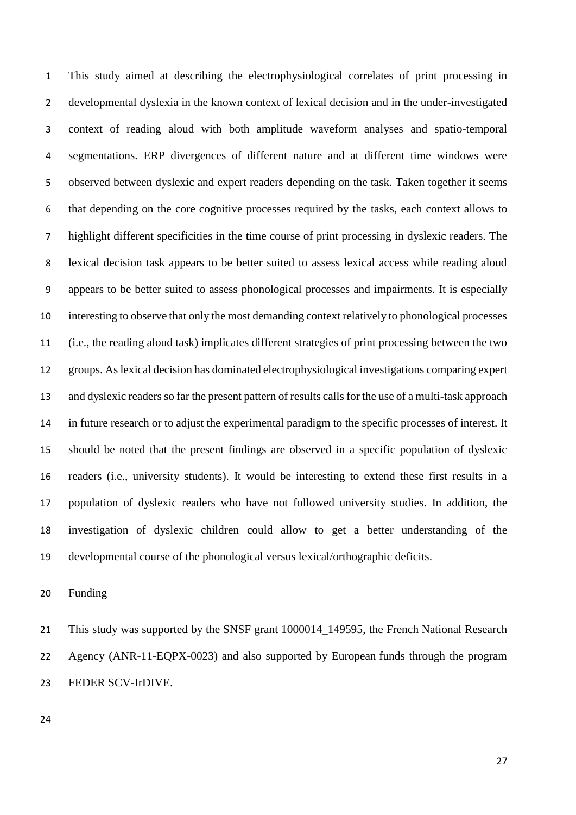This study aimed at describing the electrophysiological correlates of print processing in developmental dyslexia in the known context of lexical decision and in the under-investigated context of reading aloud with both amplitude waveform analyses and spatio-temporal segmentations. ERP divergences of different nature and at different time windows were observed between dyslexic and expert readers depending on the task. Taken together it seems that depending on the core cognitive processes required by the tasks, each context allows to highlight different specificities in the time course of print processing in dyslexic readers. The lexical decision task appears to be better suited to assess lexical access while reading aloud appears to be better suited to assess phonological processes and impairments. It is especially interesting to observe that only the most demanding context relatively to phonological processes (i.e., the reading aloud task) implicates different strategies of print processing between the two groups. As lexical decision has dominated electrophysiological investigations comparing expert 13 and dyslexic readers so far the present pattern of results calls for the use of a multi-task approach in future research or to adjust the experimental paradigm to the specific processes of interest. It should be noted that the present findings are observed in a specific population of dyslexic readers (i.e., university students). It would be interesting to extend these first results in a population of dyslexic readers who have not followed university studies. In addition, the investigation of dyslexic children could allow to get a better understanding of the developmental course of the phonological versus lexical/orthographic deficits.

Funding

 This study was supported by the SNSF grant 1000014\_149595, the French National Research Agency (ANR-11-EQPX-0023) and also supported by European funds through the program FEDER SCV-IrDIVE.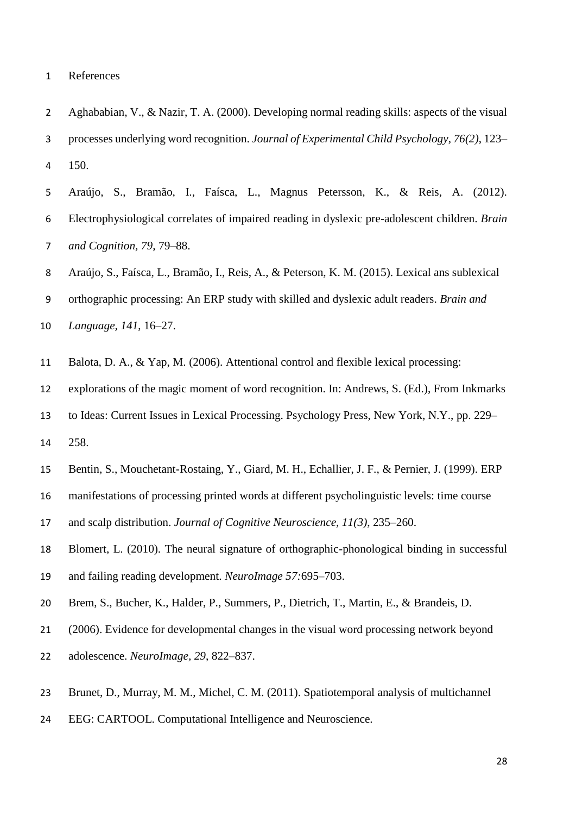- Aghababian, V., & Nazir, T. A. (2000). Developing normal reading skills: aspects of the visual processes underlying word recognition. *Journal of Experimental Child Psychology, 76(2)*, 123– 150.
- Araújo, S., Bramão, I., Faísca, L., Magnus Petersson, K., & Reis, A. (2012). Electrophysiological correlates of impaired reading in dyslexic pre-adolescent children. *Brain and Cognition, 79*, 79–88.
- Araújo, S., Faísca, L., Bramão, I., Reis, A., & Peterson, K. M. (2015). Lexical ans sublexical
- orthographic processing: An ERP study with skilled and dyslexic adult readers. *Brain and*
- *Language, 141*, 16–27.
- Balota, D. A., & Yap, M. (2006). Attentional control and flexible lexical processing:
- explorations of the magic moment of word recognition. In: Andrews, S. (Ed.), From Inkmarks
- to Ideas: Current Issues in Lexical Processing. Psychology Press, New York, N.Y., pp. 229–
- 258.
- Bentin, S., Mouchetant-Rostaing, Y., Giard, M. H., Echallier, J. F., & Pernier, J. (1999). ERP
- manifestations of processing printed words at different psycholinguistic levels: time course
- and scalp distribution. *Journal of Cognitive Neuroscience, 11(3)*, 235–260.
- Blomert, L. (2010). The neural signature of orthographic-phonological binding in successful and failing reading development. *NeuroImage 57:*695–703.
- Brem, S., Bucher, K., Halder, P., Summers, P., Dietrich, T., Martin, E., & Brandeis, D.
- (2006). Evidence for developmental changes in the visual word processing network beyond
- adolescence. *NeuroImage, 29*, 822–837.
- Brunet, D., Murray, M. M., Michel, C. M. (2011). Spatiotemporal analysis of multichannel
- EEG: CARTOOL. Computational Intelligence and Neuroscience.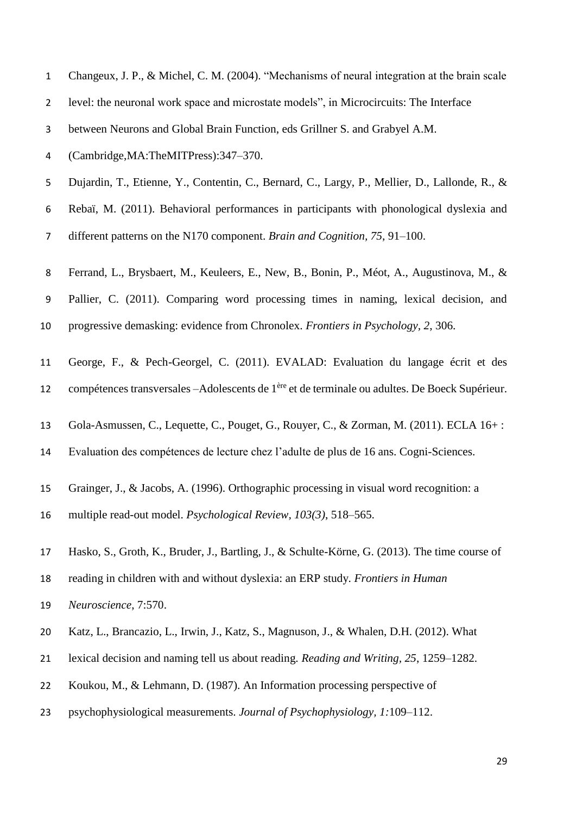| $\mathbf{1}$   | Changeux, J. P., & Michel, C. M. (2004). "Mechanisms of neural integration at the brain scale              |
|----------------|------------------------------------------------------------------------------------------------------------|
| $\overline{2}$ | level: the neuronal work space and microstate models", in Microcircuits: The Interface                     |
| 3              | between Neurons and Global Brain Function, eds Grillner S. and Grabyel A.M.                                |
| 4              | (Cambridge, MA: The MITPress): 347-370.                                                                    |
| 5              | Dujardin, T., Etienne, Y., Contentin, C., Bernard, C., Largy, P., Mellier, D., Lallonde, R., &             |
| 6              | Rebaï, M. (2011). Behavioral performances in participants with phonological dyslexia and                   |
| $\overline{7}$ | different patterns on the N170 component. Brain and Cognition, 75, 91–100.                                 |
| 8              | Ferrand, L., Brysbaert, M., Keuleers, E., New, B., Bonin, P., Méot, A., Augustinova, M., &                 |
| 9              | Pallier, C. (2011). Comparing word processing times in naming, lexical decision, and                       |
| 10             | progressive demasking: evidence from Chronolex. Frontiers in Psychology, 2, 306.                           |
| 11             | George, F., & Pech-Georgel, C. (2011). EVALAD: Evaluation du langage écrit et des                          |
| 12             | compétences transversales -Adolescents de 1 <sup>ère</sup> et de terminale ou adultes. De Boeck Supérieur. |
| 13             | Gola-Asmussen, C., Lequette, C., Pouget, G., Rouyer, C., & Zorman, M. (2011). ECLA 16+:                    |
| 14             | Evaluation des compétences de lecture chez l'adulte de plus de 16 ans. Cogni-Sciences.                     |
| 15             | Grainger, J., & Jacobs, A. (1996). Orthographic processing in visual word recognition: a                   |
| 16             | multiple read-out model. Psychological Review, 103(3), 518-565.                                            |
| 17             | Hasko, S., Groth, K., Bruder, J., Bartling, J., & Schulte-Körne, G. (2013). The time course of             |
| 18             | reading in children with and without dyslexia: an ERP study. Frontiers in Human                            |
| 19             | Neuroscience, 7:570.                                                                                       |
| 20             | Katz, L., Brancazio, L., Irwin, J., Katz, S., Magnuson, J., & Whalen, D.H. (2012). What                    |
| 21             | lexical decision and naming tell us about reading. Reading and Writing, 25, 1259–1282.                     |
| 22             | Koukou, M., & Lehmann, D. (1987). An Information processing perspective of                                 |
| 23             | psychophysiological measurements. Journal of Psychophysiology, 1:109-112.                                  |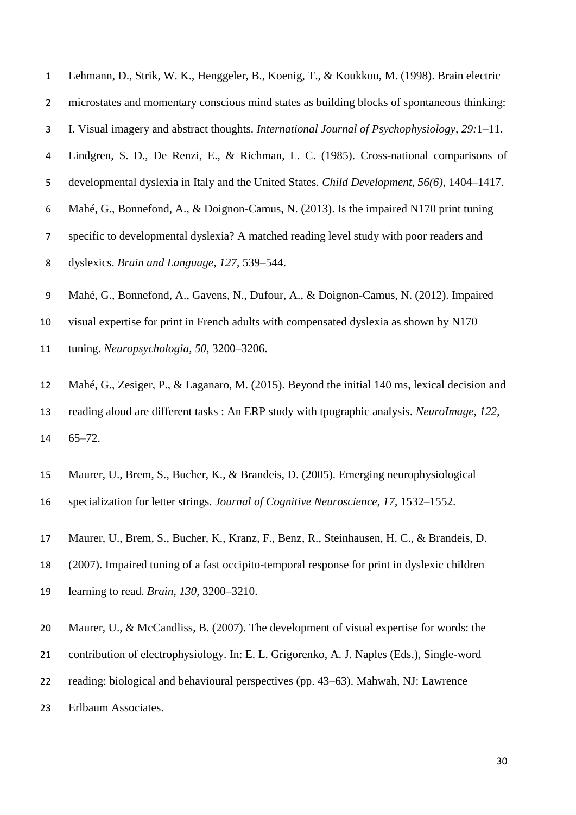- Lehmann, D., Strik, W. K., Henggeler, B., Koenig, T., & Koukkou, M. (1998). Brain electric
- microstates and momentary conscious mind states as building blocks of spontaneous thinking:
- I. Visual imagery and abstract thoughts. *International Journal of Psychophysiology, 29:*1–11.
- Lindgren, S. D., De Renzi, E., & Richman, L. C. (1985). Cross-national comparisons of
- developmental dyslexia in Italy and the United States. *Child Development, 56(6)*, 1404–1417.
- Mahé, G., Bonnefond, A., & Doignon-Camus, N. (2013). Is the impaired N170 print tuning
- specific to developmental dyslexia? A matched reading level study with poor readers and
- dyslexics. *Brain and Language, 127*, 539–544.
- Mahé, G., Bonnefond, A., Gavens, N., Dufour, A., & Doignon-Camus, N. (2012). Impaired
- visual expertise for print in French adults with compensated dyslexia as shown by N170
- tuning. *Neuropsychologia, 50*, 3200–3206.
- Mahé, G., Zesiger, P., & Laganaro, M. (2015). Beyond the initial 140 ms, lexical decision and reading aloud are different tasks : An ERP study with tpographic analysis. *NeuroImage, 122*, 65–72.
- Maurer, U., Brem, S., Bucher, K., & Brandeis, D. (2005). Emerging neurophysiological specialization for letter strings. *Journal of Cognitive Neuroscience, 17*, 1532–1552.
- Maurer, U., Brem, S., Bucher, K., Kranz, F., Benz, R., Steinhausen, H. C., & Brandeis, D. (2007). Impaired tuning of a fast occipito-temporal response for print in dyslexic children learning to read. *Brain, 130*, 3200–3210.
- Maurer, U., & McCandliss, B. (2007). The development of visual expertise for words: the
- contribution of electrophysiology. In: E. L. Grigorenko, A. J. Naples (Eds.), Single-word
- reading: biological and behavioural perspectives (pp. 43–63). Mahwah, NJ: Lawrence
- Erlbaum Associates.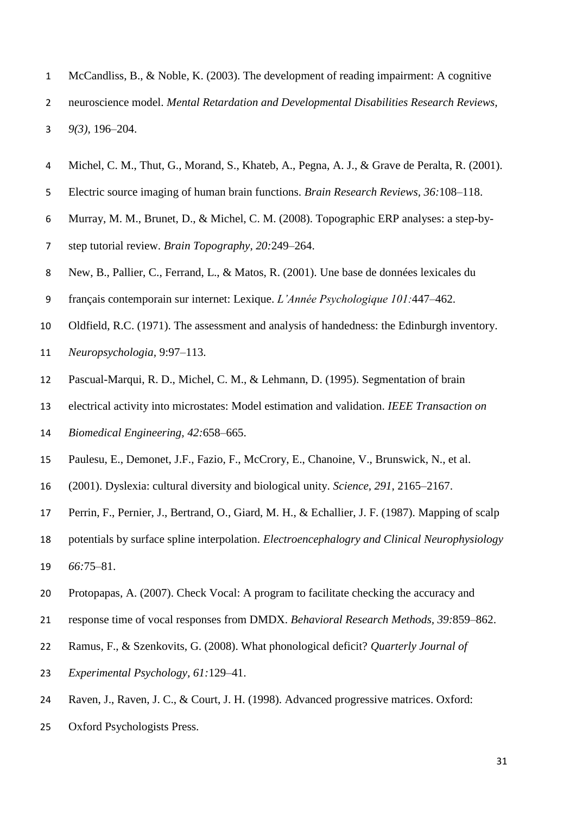- McCandliss, B., & Noble, K. (2003). The development of reading impairment: A cognitive neuroscience model. *Mental Retardation and Developmental Disabilities Research Reviews, 9(3)*, 196–204.
- Michel, C. M., Thut, G., Morand, S., Khateb, A., Pegna, A. J., & Grave de Peralta, R. (2001).
- Electric source imaging of human brain functions. *Brain Research Reviews, 36:*108–118.
- Murray, M. M., Brunet, D., & Michel, C. M. (2008). Topographic ERP analyses: a step-by-
- step tutorial review. *Brain Topography, 20:*249–264.
- New, B., Pallier, C., Ferrand, L., & Matos, R. (2001). Une base de données lexicales du
- français contemporain sur internet: Lexique. *L'Année Psychologique 101:*447–462.
- Oldfield, R.C. (1971). The assessment and analysis of handedness: the Edinburgh inventory.
- *Neuropsychologia,* 9:97–113.
- Pascual-Marqui, R. D., Michel, C. M., & Lehmann, D. (1995). Segmentation of brain
- electrical activity into microstates: Model estimation and validation. *IEEE Transaction on*
- *Biomedical Engineering, 42:*658–665.
- Paulesu, E., Demonet, J.F., Fazio, F., McCrory, E., Chanoine, V., Brunswick, N., et al.
- (2001). Dyslexia: cultural diversity and biological unity. *Science, 291*, 2165–2167.
- Perrin, F., Pernier, J., Bertrand, O., Giard, M. H., & Echallier, J. F. (1987). Mapping of scalp
- potentials by surface spline interpolation. *Electroencephalogry and Clinical Neurophysiology 66:*75–81.
- Protopapas, A. (2007). Check Vocal: A program to facilitate checking the accuracy and
- response time of vocal responses from DMDX. *Behavioral Research Methods, 39:*859–862.
- Ramus, F., & Szenkovits, G. (2008). What phonological deficit? *Quarterly Journal of*
- *Experimental Psychology, 61:*129–41.
- Raven, J., Raven, J. C., & Court, J. H. (1998). Advanced progressive matrices. Oxford:
- Oxford Psychologists Press.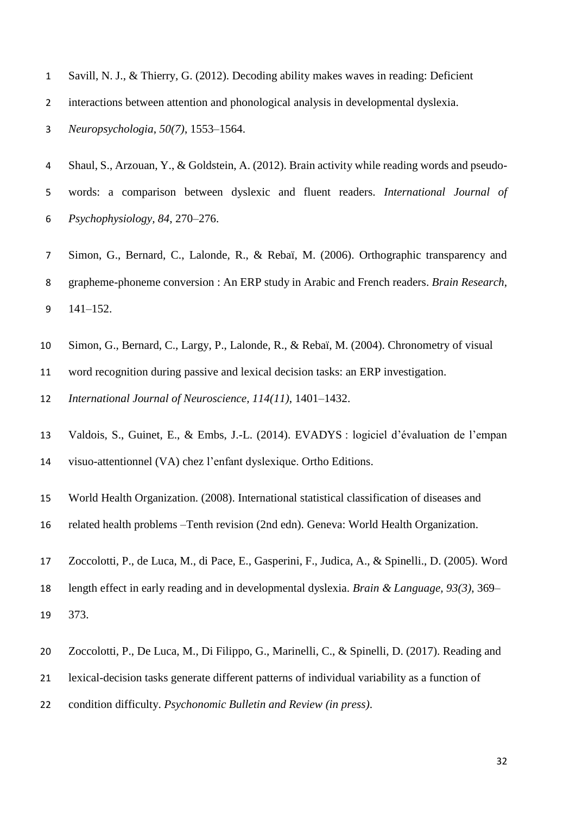- Savill, N. J., & Thierry, G. (2012). Decoding ability makes waves in reading: Deficient
- interactions between attention and phonological analysis in developmental dyslexia.

*Neuropsychologia*, *50(7)*, 1553–1564.

- Shaul, S., Arzouan, Y., & Goldstein, A. (2012). Brain activity while reading words and pseudo- words: a comparison between dyslexic and fluent readers. *International Journal of Psychophysiology, 84*, 270–276.
- Simon, G., Bernard, C., Lalonde, R., & Rebaï, M. (2006). Orthographic transparency and grapheme-phoneme conversion : An ERP study in Arabic and French readers. *Brain Research*, 141–152.
- Simon, G., Bernard, C., Largy, P., Lalonde, R., & Rebaï, M. (2004). Chronometry of visual
- word recognition during passive and lexical decision tasks: an ERP investigation.
- *International Journal of Neuroscience, 114(11)*, 1401–1432.
- Valdois, S., Guinet, E., & Embs, J.-L. (2014). EVADYS : logiciel d'évaluation de l'empan visuo-attentionnel (VA) chez l'enfant dyslexique. Ortho Editions.
- World Health Organization. (2008). International statistical classification of diseases and
- related health problems –Tenth revision (2nd edn). Geneva: World Health Organization.
- Zoccolotti, P., de Luca, M., di Pace, E., Gasperini, F., Judica, A., & Spinelli., D. (2005). Word
- length effect in early reading and in developmental dyslexia. *Brain & Language, 93(3)*, 369–
- 373.
- Zoccolotti, P., De Luca, M., Di Filippo, G., Marinelli, C., & Spinelli, D. (2017). Reading and
- lexical-decision tasks generate different patterns of individual variability as a function of
- condition difficulty. *Psychonomic Bulletin and Review (in press)*.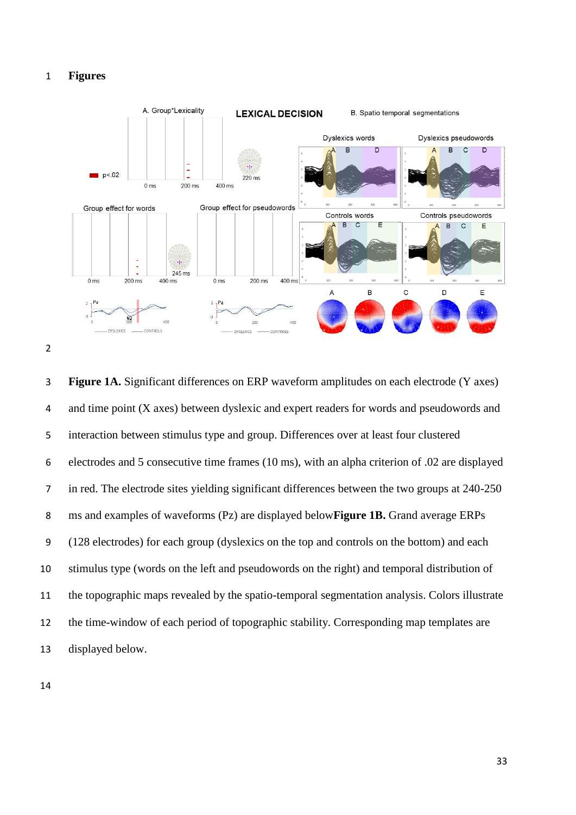#### **Figures**





 **Figure 1A.** Significant differences on ERP waveform amplitudes on each electrode (Y axes) and time point (X axes) between dyslexic and expert readers for words and pseudowords and interaction between stimulus type and group. Differences over at least four clustered electrodes and 5 consecutive time frames (10 ms), with an alpha criterion of .02 are displayed in red. The electrode sites yielding significant differences between the two groups at 240-250 ms and examples of waveforms (Pz) are displayed below**Figure 1B.** Grand average ERPs (128 electrodes) for each group (dyslexics on the top and controls on the bottom) and each stimulus type (words on the left and pseudowords on the right) and temporal distribution of the topographic maps revealed by the spatio-temporal segmentation analysis. Colors illustrate the time-window of each period of topographic stability. Corresponding map templates are displayed below.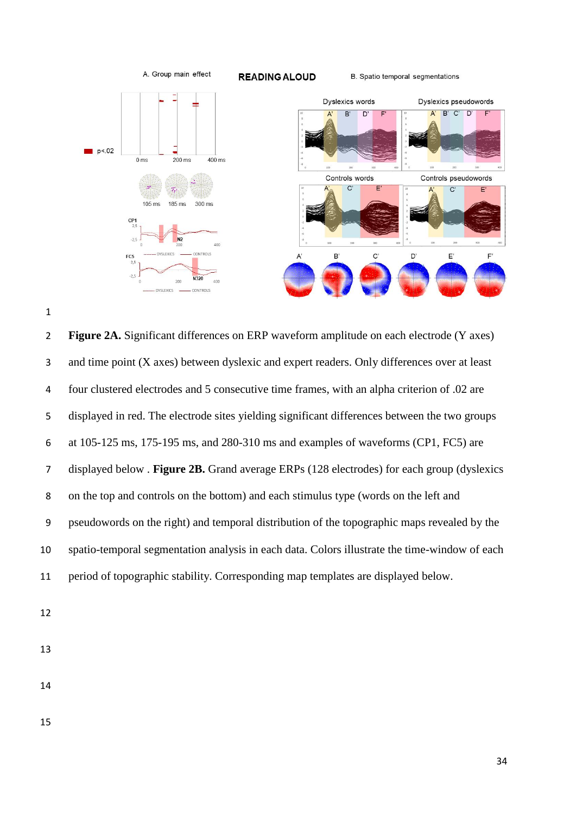



 **Figure 2A.** Significant differences on ERP waveform amplitude on each electrode (Y axes) and time point (X axes) between dyslexic and expert readers. Only differences over at least four clustered electrodes and 5 consecutive time frames, with an alpha criterion of .02 are displayed in red. The electrode sites yielding significant differences between the two groups at 105-125 ms, 175-195 ms, and 280-310 ms and examples of waveforms (CP1, FC5) are displayed below . **Figure 2B.** Grand average ERPs (128 electrodes) for each group (dyslexics on the top and controls on the bottom) and each stimulus type (words on the left and pseudowords on the right) and temporal distribution of the topographic maps revealed by the spatio-temporal segmentation analysis in each data. Colors illustrate the time-window of each period of topographic stability. Corresponding map templates are displayed below.

- 
- 
- 
-